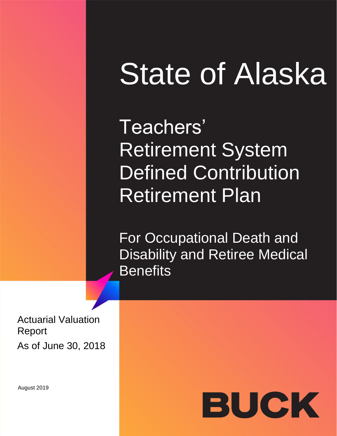# State of Alaska

Teachers' Retirement System Defined Contribution Retirement Plan

For Occupational Death and Disability and Retiree Medical **Benefits** 

Actuarial Valuation Report As of June 30, 2018

August 2019

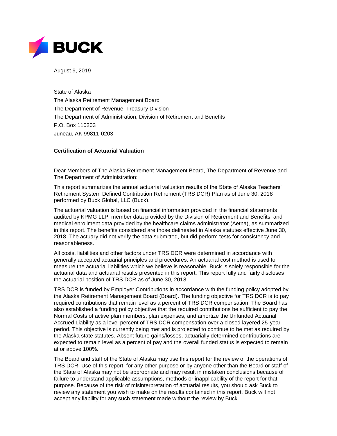

August 9, 2019

State of Alaska The Alaska Retirement Management Board The Department of Revenue, Treasury Division The Department of Administration, Division of Retirement and Benefits P.O. Box 110203 Juneau, AK 99811-0203

#### **Certification of Actuarial Valuation**

Dear Members of The Alaska Retirement Management Board, The Department of Revenue and The Department of Administration:

This report summarizes the annual actuarial valuation results of the State of Alaska Teachers' Retirement System Defined Contribution Retirement (TRS DCR) Plan as of June 30, 2018 performed by Buck Global, LLC (Buck).

The actuarial valuation is based on financial information provided in the financial statements audited by KPMG LLP, member data provided by the Division of Retirement and Benefits, and medical enrollment data provided by the healthcare claims administrator (Aetna), as summarized in this report. The benefits considered are those delineated in Alaska statutes effective June 30, 2018. The actuary did not verify the data submitted, but did perform tests for consistency and reasonableness.

All costs, liabilities and other factors under TRS DCR were determined in accordance with generally accepted actuarial principles and procedures. An actuarial cost method is used to measure the actuarial liabilities which we believe is reasonable. Buck is solely responsible for the actuarial data and actuarial results presented in this report. This report fully and fairly discloses the actuarial position of TRS DCR as of June 30, 2018.

TRS DCR is funded by Employer Contributions in accordance with the funding policy adopted by the Alaska Retirement Management Board (Board). The funding objective for TRS DCR is to pay required contributions that remain level as a percent of TRS DCR compensation. The Board has also established a funding policy objective that the required contributions be sufficient to pay the Normal Costs of active plan members, plan expenses, and amortize the Unfunded Actuarial Accrued Liability as a level percent of TRS DCR compensation over a closed layered 25-year period. This objective is currently being met and is projected to continue to be met as required by the Alaska state statutes. Absent future gains/losses, actuarially determined contributions are expected to remain level as a percent of pay and the overall funded status is expected to remain at or above 100%.

The Board and staff of the State of Alaska may use this report for the review of the operations of TRS DCR. Use of this report, for any other purpose or by anyone other than the Board or staff of the State of Alaska may not be appropriate and may result in mistaken conclusions because of failure to understand applicable assumptions, methods or inapplicability of the report for that purpose. Because of the risk of misinterpretation of actuarial results, you should ask Buck to review any statement you wish to make on the results contained in this report. Buck will not accept any liability for any such statement made without the review by Buck.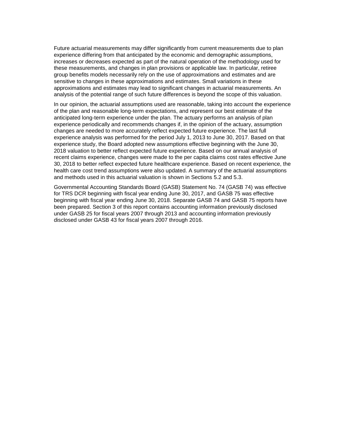Future actuarial measurements may differ significantly from current measurements due to plan experience differing from that anticipated by the economic and demographic assumptions, increases or decreases expected as part of the natural operation of the methodology used for these measurements, and changes in plan provisions or applicable law. In particular, retiree group benefits models necessarily rely on the use of approximations and estimates and are sensitive to changes in these approximations and estimates. Small variations in these approximations and estimates may lead to significant changes in actuarial measurements. An analysis of the potential range of such future differences is beyond the scope of this valuation.

In our opinion, the actuarial assumptions used are reasonable, taking into account the experience of the plan and reasonable long-term expectations, and represent our best estimate of the anticipated long-term experience under the plan. The actuary performs an analysis of plan experience periodically and recommends changes if, in the opinion of the actuary, assumption changes are needed to more accurately reflect expected future experience. The last full experience analysis was performed for the period July 1, 2013 to June 30, 2017. Based on that experience study, the Board adopted new assumptions effective beginning with the June 30, 2018 valuation to better reflect expected future experience. Based on our annual analysis of recent claims experience, changes were made to the per capita claims cost rates effective June 30, 2018 to better reflect expected future healthcare experience. Based on recent experience, the health care cost trend assumptions were also updated. A summary of the actuarial assumptions and methods used in this actuarial valuation is shown in Sections 5.2 and 5.3.

Governmental Accounting Standards Board (GASB) Statement No. 74 (GASB 74) was effective for TRS DCR beginning with fiscal year ending June 30, 2017, and GASB 75 was effective beginning with fiscal year ending June 30, 2018. Separate GASB 74 and GASB 75 reports have been prepared. Section 3 of this report contains accounting information previously disclosed under GASB 25 for fiscal years 2007 through 2013 and accounting information previously disclosed under GASB 43 for fiscal years 2007 through 2016.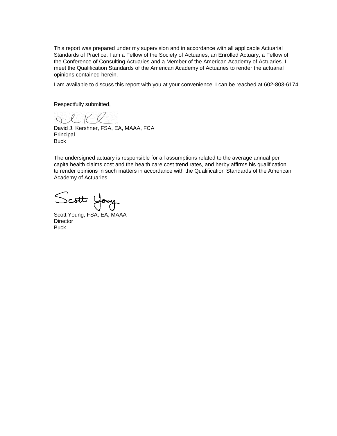This report was prepared under my supervision and in accordance with all applicable Actuarial Standards of Practice. I am a Fellow of the Society of Actuaries, an Enrolled Actuary, a Fellow of the Conference of Consulting Actuaries and a Member of the American Academy of Actuaries. I meet the Qualification Standards of the American Academy of Actuaries to render the actuarial opinions contained herein.

I am available to discuss this report with you at your convenience. I can be reached at 602-803-6174.

Respectfully submitted,

 $Q. L K K$ 

David J. Kershner, FSA, EA, MAAA, FCA Principal **Buck** 

The undersigned actuary is responsible for all assumptions related to the average annual per capita health claims cost and the health care cost trend rates, and herby affirms his qualification to render opinions in such matters in accordance with the Qualification Standards of the American Academy of Actuaries.

Scott Young

Scott Young, FSA, EA, MAAA **Director Buck**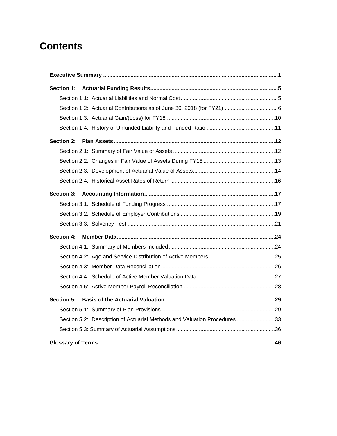# **Contents**

| <b>Section 1:</b> |                                                                           |  |
|-------------------|---------------------------------------------------------------------------|--|
|                   |                                                                           |  |
|                   |                                                                           |  |
|                   |                                                                           |  |
|                   |                                                                           |  |
| Section 2:        |                                                                           |  |
|                   |                                                                           |  |
|                   |                                                                           |  |
|                   |                                                                           |  |
|                   |                                                                           |  |
| Section 3:        |                                                                           |  |
|                   |                                                                           |  |
|                   |                                                                           |  |
|                   |                                                                           |  |
| <b>Section 4:</b> |                                                                           |  |
|                   |                                                                           |  |
|                   |                                                                           |  |
|                   |                                                                           |  |
|                   |                                                                           |  |
|                   |                                                                           |  |
| Section 5:        |                                                                           |  |
|                   |                                                                           |  |
|                   | Section 5.2: Description of Actuarial Methods and Valuation Procedures 33 |  |
|                   |                                                                           |  |
|                   |                                                                           |  |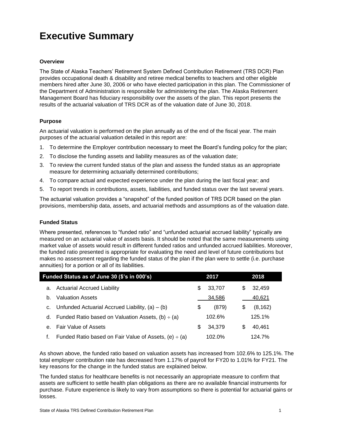# <span id="page-5-0"></span>**Executive Summary**

#### **Overview**

The State of Alaska Teachers' Retirement System Defined Contribution Retirement (TRS DCR) Plan provides occupational death & disability and retiree medical benefits to teachers and other eligible members hired after June 30, 2006 or who have elected participation in this plan. The Commissioner of the Department of Administration is responsible for administering the plan. The Alaska Retirement Management Board has fiduciary responsibility over the assets of the plan. This report presents the results of the actuarial valuation of TRS DCR as of the valuation date of June 30, 2018.

#### **Purpose**

An actuarial valuation is performed on the plan annually as of the end of the fiscal year. The main purposes of the actuarial valuation detailed in this report are:

- 1. To determine the Employer contribution necessary to meet the Board's funding policy for the plan;
- 2. To disclose the funding assets and liability measures as of the valuation date;
- 3. To review the current funded status of the plan and assess the funded status as an appropriate measure for determining actuarially determined contributions;
- 4. To compare actual and expected experience under the plan during the last fiscal year; and
- 5. To report trends in contributions, assets, liabilities, and funded status over the last several years.

The actuarial valuation provides a "snapshot" of the funded position of TRS DCR based on the plan provisions, membership data, assets, and actuarial methods and assumptions as of the valuation date.

#### **Funded Status**

Where presented, references to "funded ratio" and "unfunded actuarial accrued liability" typically are measured on an actuarial value of assets basis. It should be noted that the same measurements using market value of assets would result in different funded ratios and unfunded accrued liabilities. Moreover, the funded ratio presented is appropriate for evaluating the need and level of future contributions but makes no assessment regarding the funded status of the plan if the plan were to settle (i.e. purchase annuities) for a portion or all of its liabilities.

|         | Funded Status as of June 30 (\$'s in 000's)                |    | 2017   |    | 2018     |  |
|---------|------------------------------------------------------------|----|--------|----|----------|--|
|         | a. Actuarial Accrued Liability                             | S  | 33,707 | S  | 32,459   |  |
| b.      | <b>Valuation Assets</b>                                    |    | 34,586 |    | 40,621   |  |
|         | c. Unfunded Actuarial Accrued Liability, $(a) - (b)$       | \$ | (879)  | \$ | (8, 162) |  |
|         | d. Funded Ratio based on Valuation Assets, (b) $\div$ (a)  |    | 102.6% |    | 125.1%   |  |
| $e_{1}$ | <b>Fair Value of Assets</b>                                | S  | 34.379 |    | 40.461   |  |
|         | Funded Ratio based on Fair Value of Assets, (e) $\div$ (a) |    | 102.0% |    | 124.7%   |  |

As shown above, the funded ratio based on valuation assets has increased from 102.6% to 125.1%. The total employer contribution rate has decreased from 1.17% of payroll for FY20 to 1.01% for FY21. The key reasons for the change in the funded status are explained below.

The funded status for healthcare benefits is not necessarily an appropriate measure to confirm that assets are sufficient to settle health plan obligations as there are no available financial instruments for purchase. Future experience is likely to vary from assumptions so there is potential for actuarial gains or losses.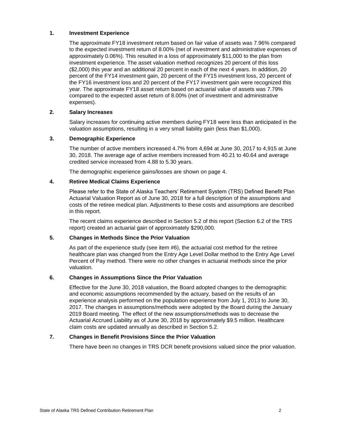#### **1. Investment Experience**

The approximate FY18 investment return based on fair value of assets was 7.96% compared to the expected investment return of 8.00% (net of investment and administrative expenses of approximately 0.06%). This resulted in a loss of approximately \$11,000 to the plan from investment experience. The asset valuation method recognizes 20 percent of this loss (\$2,000) this year and an additional 20 percent in each of the next 4 years. In addition, 20 percent of the FY14 investment gain, 20 percent of the FY15 investment loss, 20 percent of the FY16 investment loss and 20 percent of the FY17 investment gain were recognized this year. The approximate FY18 asset return based on actuarial value of assets was 7.79% compared to the expected asset return of 8.00% (net of investment and administrative expenses).

#### **2. Salary Increases**

Salary increases for continuing active members during FY18 were less than anticipated in the valuation assumptions, resulting in a very small liability gain (less than \$1,000).

#### **3. Demographic Experience**

The number of active members increased 4.7% from 4,694 at June 30, 2017 to 4,915 at June 30, 2018. The average age of active members increased from 40.21 to 40.64 and average credited service increased from 4.88 to 5.30 years.

The demographic experience gains/losses are shown on page 4.

#### **4. Retiree Medical Claims Experience**

Please refer to the State of Alaska Teachers' Retirement System (TRS) Defined Benefit Plan Actuarial Valuation Report as of June 30, 2018 for a full description of the assumptions and costs of the retiree medical plan. Adjustments to these costs and assumptions are described in this report.

The recent claims experience described in Section 5.2 of this report (Section 6.2 of the TRS report) created an actuarial gain of approximately \$290,000.

#### **5. Changes in Methods Since the Prior Valuation**

As part of the experience study (see item #6), the actuarial cost method for the retiree healthcare plan was changed from the Entry Age Level Dollar method to the Entry Age Level Percent of Pay method. There were no other changes in actuarial methods since the prior valuation.

#### **6. Changes in Assumptions Since the Prior Valuation**

Effective for the June 30, 2018 valuation, the Board adopted changes to the demographic and economic assumptions recommended by the actuary, based on the results of an experience analysis performed on the population experience from July 1, 2013 to June 30, 2017. The changes in assumptions/methods were adopted by the Board during the January 2019 Board meeting. The effect of the new assumptions/methods was to decrease the Actuarial Accrued Liability as of June 30, 2018 by approximately \$9.5 million. Healthcare claim costs are updated annually as described in Section 5.2.

#### **7. Changes in Benefit Provisions Since the Prior Valuation**

There have been no changes in TRS DCR benefit provisions valued since the prior valuation.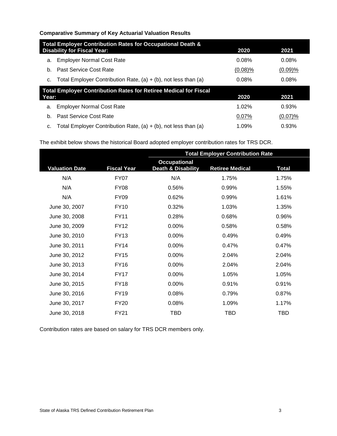#### **Comparative Summary of Key Actuarial Valuation Results**

|       | Total Employer Contribution Rates for Occupational Death &              |            |         |  |  |  |  |  |  |
|-------|-------------------------------------------------------------------------|------------|---------|--|--|--|--|--|--|
|       | <b>Disability for Fiscal Year:</b>                                      | 2020       | 2021    |  |  |  |  |  |  |
| a.    | <b>Employer Normal Cost Rate</b>                                        | 0.08%      | 0.08%   |  |  |  |  |  |  |
| b.    | Past Service Cost Rate                                                  | $(0.08)\%$ | (0.09)% |  |  |  |  |  |  |
| c.    | Total Employer Contribution Rate, $(a) + (b)$ , not less than $(a)$     | 0.08%      | 0.08%   |  |  |  |  |  |  |
|       | <b>Total Employer Contribution Rates for Retiree Medical for Fiscal</b> |            |         |  |  |  |  |  |  |
| Year: |                                                                         | 2020       | 2021    |  |  |  |  |  |  |
| a.    | <b>Employer Normal Cost Rate</b>                                        | 1.02%      | 0.93%   |  |  |  |  |  |  |
| b.    | Past Service Cost Rate                                                  | 0.07%      | (0.07)% |  |  |  |  |  |  |
| C.    | Total Employer Contribution Rate, $(a) + (b)$ , not less than $(a)$     | 1.09%      | 0.93%   |  |  |  |  |  |  |

The exhibit below shows the historical Board adopted employer contribution rates for TRS DCR.

|                       |                    | <b>Total Employer Contribution Rate</b>              |                        |              |  |  |  |
|-----------------------|--------------------|------------------------------------------------------|------------------------|--------------|--|--|--|
| <b>Valuation Date</b> | <b>Fiscal Year</b> | <b>Occupational</b><br><b>Death &amp; Disability</b> | <b>Retiree Medical</b> | <b>Total</b> |  |  |  |
| N/A                   | <b>FY07</b>        | N/A                                                  | 1.75%                  | 1.75%        |  |  |  |
| N/A                   | <b>FY08</b>        | 0.56%                                                | 0.99%                  | 1.55%        |  |  |  |
| N/A                   | <b>FY09</b>        | 0.62%                                                | 0.99%                  | 1.61%        |  |  |  |
| June 30, 2007         | <b>FY10</b>        | 0.32%                                                | 1.03%                  | 1.35%        |  |  |  |
| June 30, 2008         | <b>FY11</b>        | 0.28%                                                | 0.68%                  | 0.96%        |  |  |  |
| June 30, 2009         | <b>FY12</b>        | 0.00%                                                | 0.58%                  | 0.58%        |  |  |  |
| June 30, 2010         | <b>FY13</b>        | 0.00%                                                | 0.49%                  | 0.49%        |  |  |  |
| June 30, 2011         | <b>FY14</b>        | 0.00%                                                | 0.47%                  | 0.47%        |  |  |  |
| June 30, 2012         | <b>FY15</b>        | $0.00\%$                                             | 2.04%                  | 2.04%        |  |  |  |
| June 30, 2013         | <b>FY16</b>        | $0.00\%$                                             | 2.04%                  | 2.04%        |  |  |  |
| June 30, 2014         | <b>FY17</b>        | $0.00\%$                                             | 1.05%                  | 1.05%        |  |  |  |
| June 30, 2015         | <b>FY18</b>        | 0.00%                                                | 0.91%                  | 0.91%        |  |  |  |
| June 30, 2016         | <b>FY19</b>        | 0.08%                                                | 0.79%                  | 0.87%        |  |  |  |
| June 30, 2017         | <b>FY20</b>        | 0.08%                                                | 1.09%                  | 1.17%        |  |  |  |
| June 30, 2018         | <b>FY21</b>        | TBD                                                  | <b>TBD</b>             | <b>TBD</b>   |  |  |  |

Contribution rates are based on salary for TRS DCR members only.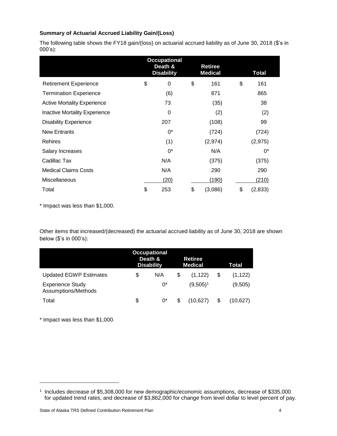#### **Summary of Actuarial Accrued Liability Gain/(Loss)**

The following table shows the FY18 gain/(loss) on actuarial accrued liability as of June 30, 2018 (\$'s in 000's):

|                                      |    | <b>Occupational</b><br>Death &<br><b>Disability</b> | Retiree<br><b>Medical</b> | <b>Total</b> |               |
|--------------------------------------|----|-----------------------------------------------------|---------------------------|--------------|---------------|
| <b>Retirement Experience</b>         | \$ | 0                                                   | \$                        | 161          | \$<br>161     |
| <b>Termination Experience</b>        |    | (6)                                                 |                           | 871          | 865           |
| <b>Active Mortality Experience</b>   |    | 73                                                  |                           | (35)         | 38            |
| <b>Inactive Mortality Experience</b> |    | 0                                                   |                           | (2)          | (2)           |
| <b>Disability Experience</b>         |    | 207                                                 |                           | (108)        | 99            |
| <b>New Entrants</b>                  |    | $0^*$                                               |                           | (724)        | (724)         |
| <b>Rehires</b>                       |    | (1)                                                 |                           | (2,974)      | (2, 975)      |
| Salary Increases                     |    | 0*                                                  |                           | N/A          | $0^*$         |
| Cadillac Tax                         |    | N/A                                                 |                           | (375)        | (375)         |
| <b>Medical Claims Costs</b>          |    | N/A                                                 |                           | 290          | 290           |
| <b>Miscellaneous</b>                 |    | (20)                                                |                           | (190)        | (210)         |
| Total                                | \$ | 253                                                 | \$                        | (3,086)      | \$<br>(2,833) |

\* Impact was less than \$1,000.

Other items that increased/(decreased) the actuarial accrued liability as of June 30, 2018 are shown below (\$'s in 000's):

|                                                | <b>Occupational</b><br>Death &<br><b>Retiree</b><br><b>Disability</b><br><b>Medical</b> |     |   | Total       |          |
|------------------------------------------------|-----------------------------------------------------------------------------------------|-----|---|-------------|----------|
| <b>Updated EGWP Estimates</b>                  | \$                                                                                      | N/A | S | (1, 122)    | (1, 122) |
| <b>Experience Study</b><br>Assumptions/Methods |                                                                                         | 0*  |   | $(9,505)^1$ | (9,505)  |
| Total                                          | \$                                                                                      | 0*  |   | (10.627)    | (10.627) |

\* Impact was less than \$1,000.

<sup>1</sup> Includes decrease of \$5,308,000 for new demographic/economic assumptions, decrease of \$335,000 for updated trend rates, and decrease of \$3,862,000 for change from level dollar to level percent of pay.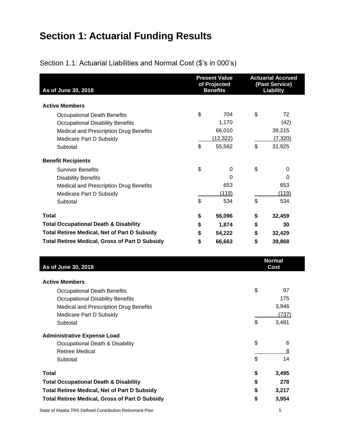# <span id="page-9-2"></span><span id="page-9-0"></span>**Section 1: Actuarial Funding Results**

<span id="page-9-1"></span>

| As of June 30, 2018                                   |    | <b>Present Value</b><br>of Projected<br><b>Benefits</b> | <b>Actuarial Accrued</b><br>(Past Service)<br><b>Liability</b> |                       |  |
|-------------------------------------------------------|----|---------------------------------------------------------|----------------------------------------------------------------|-----------------------|--|
| <b>Active Members</b>                                 |    |                                                         |                                                                |                       |  |
| <b>Occupational Death Benefits</b>                    | \$ | 704                                                     | \$                                                             | 72                    |  |
| <b>Occupational Disability Benefits</b>               |    | 1,170                                                   |                                                                | (42)                  |  |
| <b>Medical and Prescription Drug Benefits</b>         |    | 66,010                                                  |                                                                | 39,215                |  |
| Medicare Part D Subsidy                               |    | (12, 322)                                               |                                                                | (7, 320)              |  |
| Subtotal                                              | \$ | 55,562                                                  | \$                                                             | 31,925                |  |
| <b>Benefit Recipients</b>                             |    |                                                         |                                                                |                       |  |
| <b>Survivor Benefits</b>                              | \$ | $\Omega$                                                | \$                                                             | 0                     |  |
| <b>Disability Benefits</b>                            |    | $\Omega$                                                |                                                                | $\Omega$              |  |
| Medical and Prescription Drug Benefits                |    | 653                                                     |                                                                | 653                   |  |
| Medicare Part D Subsidy                               |    | (119)                                                   |                                                                | (119)                 |  |
| Subtotal                                              | \$ | 534                                                     | \$                                                             | 534                   |  |
| <b>Total</b>                                          | \$ | 56,096                                                  | \$                                                             | 32,459                |  |
| <b>Total Occupational Death &amp; Disability</b>      | \$ | 1,874                                                   | \$                                                             | 30                    |  |
| <b>Total Retiree Medical, Net of Part D Subsidy</b>   | \$ | 54,222                                                  | \$                                                             | 32,429                |  |
| <b>Total Retiree Medical, Gross of Part D Subsidy</b> | \$ | 66,663                                                  | \$                                                             | 39,868                |  |
| As of June 30, 2018                                   |    |                                                         |                                                                | <b>Normal</b><br>Cost |  |

| <b>Active Members</b>                                 |             |
|-------------------------------------------------------|-------------|
| <b>Occupational Death Benefits</b>                    | \$<br>97    |
| <b>Occupational Disability Benefits</b>               | 175         |
| Medical and Prescription Drug Benefits                | 3,946       |
| Medicare Part D Subsidy                               | (737)       |
| Subtotal                                              | \$<br>3,481 |
| <b>Administrative Expense Load</b>                    |             |
| Occupational Death & Disability                       | \$<br>6     |
| <b>Retiree Medical</b>                                | 8           |
| Subtotal                                              | \$<br>14    |
| <b>Total</b>                                          | \$<br>3,495 |
| <b>Total Occupational Death &amp; Disability</b>      | \$<br>278   |
| <b>Total Retiree Medical, Net of Part D Subsidy</b>   | \$<br>3,217 |
| <b>Total Retiree Medical, Gross of Part D Subsidy</b> | \$<br>3,954 |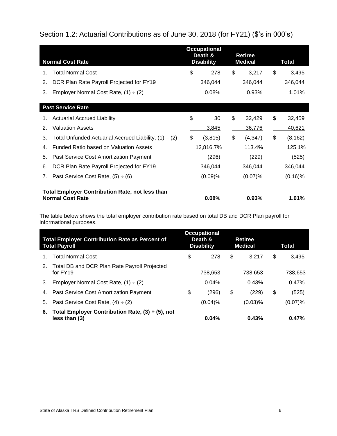# Section 1.2: Actuarial Contributions as of June 30, 2018 (for FY21) (\$'s in 000's)

|    | <b>Normal Cost Rate</b>                                                                                      |    | <b>Occupational</b><br>Death &<br><b>Disability</b> |    | <b>Retiree</b><br><b>Medical</b> |    | Total      |
|----|--------------------------------------------------------------------------------------------------------------|----|-----------------------------------------------------|----|----------------------------------|----|------------|
| 1. | <b>Total Normal Cost</b>                                                                                     | \$ | 278                                                 | \$ | 3,217                            | \$ | 3,495      |
| 2. | DCR Plan Rate Payroll Projected for FY19                                                                     |    | 346,044                                             |    | 346,044                          |    | 346,044    |
| 3. | Employer Normal Cost Rate, $(1) \div (2)$                                                                    |    | 0.08%                                               |    | 0.93%                            |    | 1.01%      |
|    | <b>Past Service Rate</b>                                                                                     |    |                                                     |    |                                  |    |            |
| 1. | <b>Actuarial Accrued Liability</b>                                                                           | \$ | 30                                                  | \$ | 32,429                           | \$ | 32,459     |
| 2. | <b>Valuation Assets</b>                                                                                      |    | 3,845                                               |    | 36,776                           |    | 40,621     |
| 3. | Total Unfunded Actuarial Accrued Liability, $(1) - (2)$                                                      | \$ | (3,815)                                             | \$ | (4, 347)                         | \$ | (8, 162)   |
| 4. | Funded Ratio based on Valuation Assets                                                                       |    | 12,816.7%                                           |    | 113.4%                           |    | 125.1%     |
| 5. | Past Service Cost Amortization Payment                                                                       |    | (296)                                               |    | (229)                            |    | (525)      |
| 6. | DCR Plan Rate Payroll Projected for FY19                                                                     |    | 346,044                                             |    | 346,044                          |    | 346,044    |
| 7. | Past Service Cost Rate, $(5) \div (6)$                                                                       |    | (0.09)%                                             |    | (0.07)%                          |    | $(0.16)$ % |
|    | <b>Total Employer Contribution Rate, not less than</b><br><b>Normal Cost Rate</b><br>0.08%<br>1.01%<br>0.93% |    |                                                     |    |                                  |    |            |

The table below shows the total employer contribution rate based on total DB and DCR Plan payroll for informational purposes.

| <b>Total Employer Contribution Rate as Percent of</b><br><b>Total Payroll</b> |                                                                      | <b>Occupational</b><br>Death &<br><b>Disability</b> |         | Retiree<br><b>Medical</b> |            | Total       |
|-------------------------------------------------------------------------------|----------------------------------------------------------------------|-----------------------------------------------------|---------|---------------------------|------------|-------------|
| 1.                                                                            | <b>Total Normal Cost</b>                                             | \$                                                  | 278     | \$                        | 3.217      | \$<br>3.495 |
| 2.                                                                            | Total DB and DCR Plan Rate Payroll Projected<br>for FY19             |                                                     | 738,653 |                           | 738.653    | 738.653     |
| 3.                                                                            | Employer Normal Cost Rate, $(1) \div (2)$                            |                                                     | 0.04%   |                           | 0.43%      | 0.47%       |
| 4.                                                                            | Past Service Cost Amortization Payment                               | \$                                                  | (296)   | \$                        | (229)      | \$<br>(525) |
| 5.                                                                            | Past Service Cost Rate, $(4) \div (2)$                               |                                                     | (0.04)% |                           | $(0.03)$ % | (0.07)%     |
| 6.                                                                            | Total Employer Contribution Rate, $(3) + (5)$ , not<br>less than (3) |                                                     | 0.04%   |                           | 0.43%      | 0.47%       |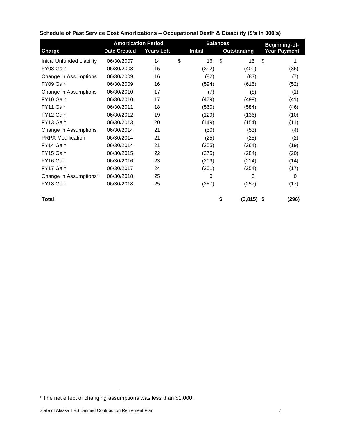| <b>Amortization Period</b><br><b>Balances</b> |                     |                   |                | Beginning-of-      |      |                     |
|-----------------------------------------------|---------------------|-------------------|----------------|--------------------|------|---------------------|
| <b>Charge</b>                                 | <b>Date Created</b> | <b>Years Left</b> | <b>Initial</b> | <b>Outstanding</b> |      | <b>Year Payment</b> |
| <b>Initial Unfunded Liability</b>             | 06/30/2007          | 14                | \$<br>16       | \$<br>15           | \$   | 1                   |
| FY08 Gain                                     | 06/30/2008          | 15                | (392)          | (400)              |      | (36)                |
| Change in Assumptions                         | 06/30/2009          | 16                | (82)           | (83)               |      | (7)                 |
| FY09 Gain                                     | 06/30/2009          | 16                | (594)          | (615)              |      | (52)                |
| Change in Assumptions                         | 06/30/2010          | 17                | (7)            | (8)                |      | (1)                 |
| FY10 Gain                                     | 06/30/2010          | 17                | (479)          | (499)              |      | (41)                |
| FY11 Gain                                     | 06/30/2011          | 18                | (560)          | (584)              |      | (46)                |
| FY12 Gain                                     | 06/30/2012          | 19                | (129)          | (136)              |      | (10)                |
| FY13 Gain                                     | 06/30/2013          | 20                | (149)          | (154)              |      | (11)                |
| Change in Assumptions                         | 06/30/2014          | 21                | (50)           | (53)               |      | (4)                 |
| <b>PRPA Modification</b>                      | 06/30/2014          | 21                | (25)           | (25)               |      | (2)                 |
| FY14 Gain                                     | 06/30/2014          | 21                | (255)          | (264)              |      | (19)                |
| FY15 Gain                                     | 06/30/2015          | 22                | (275)          | (284)              |      | (20)                |
| FY16 Gain                                     | 06/30/2016          | 23                | (209)          | (214)              |      | (14)                |
| FY17 Gain                                     | 06/30/2017          | 24                | (251)          | (254)              |      | (17)                |
| Change in Assumptions <sup>1</sup>            | 06/30/2018          | 25                | 0              | 0                  |      | $\Omega$            |
| FY18 Gain                                     | 06/30/2018          | 25                | (257)          | (257)              |      | (17)                |
| <b>Total</b>                                  |                     |                   |                | \$<br>(3,815)      | - \$ | (296)               |

## **Schedule of Past Service Cost Amortizations – Occupational Death & Disability (\$'s in 000's)**

<sup>1</sup> The net effect of changing assumptions was less than \$1,000.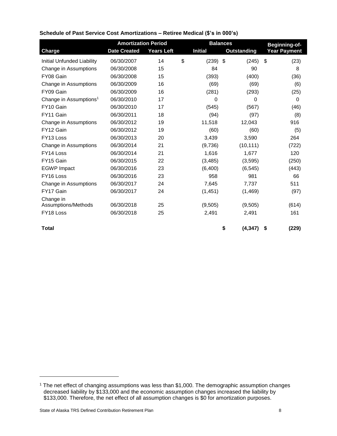|                                    | <b>Amortization Period</b> |                   | <b>Balances</b> |                |    | Beginning-of-      |    |                     |
|------------------------------------|----------------------------|-------------------|-----------------|----------------|----|--------------------|----|---------------------|
| <b>Charge</b>                      | <b>Date Created</b>        | <b>Years Left</b> |                 | <b>Initial</b> |    | <b>Outstanding</b> |    | <b>Year Payment</b> |
| <b>Initial Unfunded Liability</b>  | 06/30/2007                 | 14                | \$              | $(239)$ \$     |    | (245)              | \$ | (23)                |
| Change in Assumptions              | 06/30/2008                 | 15                |                 | 84             |    | 90                 |    | 8                   |
| FY08 Gain                          | 06/30/2008                 | 15                |                 | (393)          |    | (400)              |    | (36)                |
| Change in Assumptions              | 06/30/2009                 | 16                |                 | (69)           |    | (69)               |    | (6)                 |
| FY09 Gain                          | 06/30/2009                 | 16                |                 | (281)          |    | (293)              |    | (25)                |
| Change in Assumptions <sup>1</sup> | 06/30/2010                 | 17                |                 | 0              |    | 0                  |    | 0                   |
| FY10 Gain                          | 06/30/2010                 | 17                |                 | (545)          |    | (567)              |    | (46)                |
| FY11 Gain                          | 06/30/2011                 | 18                |                 | (94)           |    | (97)               |    | (8)                 |
| Change in Assumptions              | 06/30/2012                 | 19                |                 | 11,518         |    | 12,043             |    | 916                 |
| FY12 Gain                          | 06/30/2012                 | 19                |                 | (60)           |    | (60)               |    | (5)                 |
| FY13 Loss                          | 06/30/2013                 | 20                |                 | 3,439          |    | 3,590              |    | 264                 |
| Change in Assumptions              | 06/30/2014                 | 21                |                 | (9,736)        |    | (10, 111)          |    | (722)               |
| FY14 Loss                          | 06/30/2014                 | 21                |                 | 1,616          |    | 1,677              |    | 120                 |
| FY15 Gain                          | 06/30/2015                 | 22                |                 | (3, 485)       |    | (3,595)            |    | (250)               |
| <b>EGWP</b> Impact                 | 06/30/2016                 | 23                |                 | (6,400)        |    | (6, 545)           |    | (443)               |
| FY16 Loss                          | 06/30/2016                 | 23                |                 | 958            |    | 981                |    | 66                  |
| Change in Assumptions              | 06/30/2017                 | 24                |                 | 7.645          |    | 7,737              |    | 511                 |
| FY17 Gain                          | 06/30/2017                 | 24                |                 | (1, 451)       |    | (1, 469)           |    | (97)                |
| Change in<br>Assumptions/Methods   | 06/30/2018                 | 25                |                 | (9,505)        |    | (9,505)            |    | (614)               |
| FY18 Loss                          | 06/30/2018                 |                   |                 |                |    |                    |    | 161                 |
|                                    |                            | 25                |                 | 2,491          |    | 2,491              |    |                     |
| <b>Total</b>                       |                            |                   |                 |                | \$ | (4, 347)           | \$ | (229)               |

### **Schedule of Past Service Cost Amortizations – Retiree Medical (\$'s in 000's)**

<sup>&</sup>lt;sup>1</sup> The net effect of changing assumptions was less than \$1,000. The demographic assumption changes decreased liability by \$133,000 and the economic assumption changes increased the liability by \$133,000. Therefore, the net effect of all assumption changes is \$0 for amortization purposes.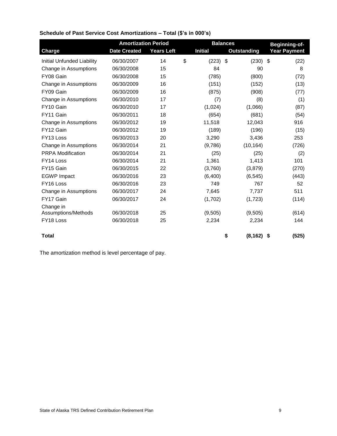|                                   | <b>Amortization Period</b> |                   | <b>Balances</b>  | Beginning-of-       |                     |
|-----------------------------------|----------------------------|-------------------|------------------|---------------------|---------------------|
| <b>Charge</b>                     | <b>Date Created</b>        | <b>Years Left</b> | <b>Initial</b>   | <b>Outstanding</b>  | <b>Year Payment</b> |
| <b>Initial Unfunded Liability</b> | 06/30/2007                 | 14                | \$<br>$(223)$ \$ | $(230)$ \$          | (22)                |
| Change in Assumptions             | 06/30/2008                 | 15                | 84               | 90                  | 8                   |
| FY08 Gain                         | 06/30/2008                 | 15                | (785)            | (800)               | (72)                |
| Change in Assumptions             | 06/30/2009                 | 16                | (151)            | (152)               | (13)                |
| FY09 Gain                         | 06/30/2009                 | 16                | (875)            | (908)               | (77)                |
| Change in Assumptions             | 06/30/2010                 | 17                | (7)              | (8)                 | (1)                 |
| FY10 Gain                         | 06/30/2010                 | 17                | (1,024)          | (1,066)             | (87)                |
| FY11 Gain                         | 06/30/2011                 | 18                | (654)            | (681)               | (54)                |
| Change in Assumptions             | 06/30/2012                 | 19                | 11,518           | 12.043              | 916                 |
| FY12 Gain                         | 06/30/2012                 | 19                | (189)            | (196)               | (15)                |
| FY13 Loss                         | 06/30/2013                 | 20                | 3,290            | 3,436               | 253                 |
| Change in Assumptions             | 06/30/2014                 | 21                | (9,786)          | (10, 164)           | (726)               |
| <b>PRPA Modification</b>          | 06/30/2014                 | 21                | (25)             | (25)                | (2)                 |
| FY14 Loss                         | 06/30/2014                 | 21                | 1,361            | 1,413               | 101                 |
| FY15 Gain                         | 06/30/2015                 | 22                | (3,760)          | (3,879)             | (270)               |
| <b>EGWP</b> Impact                | 06/30/2016                 | 23                | (6,400)          | (6, 545)            | (443)               |
| FY16 Loss                         | 06/30/2016                 | 23                | 749              | 767                 | 52                  |
| Change in Assumptions             | 06/30/2017                 | 24                | 7,645            | 7,737               | 511                 |
| FY17 Gain                         | 06/30/2017                 | 24                | (1,702)          | (1,723)             | (114)               |
| Change in                         |                            |                   |                  |                     |                     |
| Assumptions/Methods               | 06/30/2018                 | 25                | (9,505)          | (9,505)             | (614)               |
| FY18 Loss                         | 06/30/2018                 | 25                | 2,234            | 2,234               | 144                 |
| <b>Total</b>                      |                            |                   |                  | \$<br>$(8, 162)$ \$ | (525)               |

## **Schedule of Past Service Cost Amortizations – Total (\$'s in 000's)**

The amortization method is level percentage of pay.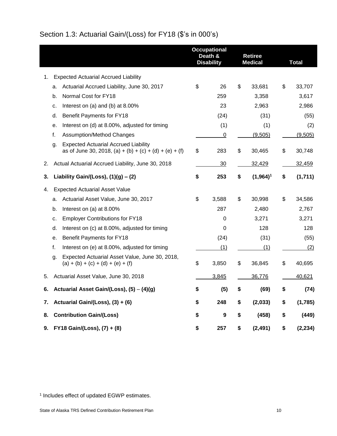<span id="page-14-0"></span>

| Section 1.3: Actuarial Gain/(Loss) for FY18 (\$'s in 000's) |  |  |
|-------------------------------------------------------------|--|--|
|-------------------------------------------------------------|--|--|

|    |                                                   |                                                                                                       | <b>Occupational</b><br>Death &<br><b>Disability</b> |                | <b>Retiree</b><br><b>Medical</b> |               |    | <b>Total</b> |
|----|---------------------------------------------------|-------------------------------------------------------------------------------------------------------|-----------------------------------------------------|----------------|----------------------------------|---------------|----|--------------|
| 1. |                                                   | <b>Expected Actuarial Accrued Liability</b>                                                           |                                                     |                |                                  |               |    |              |
|    | a.                                                | Actuarial Accrued Liability, June 30, 2017                                                            | \$                                                  | 26             | \$                               | 33,681        | \$ | 33,707       |
|    | b.                                                | Normal Cost for FY18                                                                                  |                                                     | 259            |                                  | 3,358         |    | 3,617        |
|    | c.                                                | Interest on (a) and (b) at 8.00%                                                                      |                                                     | 23             |                                  | 2,963         |    | 2,986        |
|    | d.                                                | Benefit Payments for FY18                                                                             |                                                     | (24)           |                                  | (31)          |    | (55)         |
|    | е.                                                | Interest on (d) at 8.00%, adjusted for timing                                                         |                                                     | (1)            |                                  | (1)           |    | (2)          |
|    | f.                                                | <b>Assumption/Method Changes</b>                                                                      |                                                     | $\overline{0}$ |                                  | (9,505)       |    | (9,505)      |
|    | g.                                                | <b>Expected Actuarial Accrued Liability</b><br>as of June 30, 2018, (a) + (b) + (c) + (d) + (e) + (f) | \$                                                  | 283            | \$                               | 30,465        | \$ | 30,748       |
| 2. | Actual Actuarial Accrued Liability, June 30, 2018 |                                                                                                       |                                                     | 30             |                                  | <u>32,429</u> |    | 32,459       |
| 3. |                                                   | Liability Gain/(Loss), $(1)(g) - (2)$                                                                 | \$                                                  | 253            | \$                               | $(1,964)^1$   | \$ | (1,711)      |
| 4. |                                                   | <b>Expected Actuarial Asset Value</b>                                                                 |                                                     |                |                                  |               |    |              |
|    | a.                                                | Actuarial Asset Value, June 30, 2017                                                                  | \$                                                  | 3,588          | \$                               | 30,998        | \$ | 34,586       |
|    | b.                                                | Interest on (a) at 8.00%                                                                              |                                                     | 287            |                                  | 2,480         |    | 2,767        |
|    | c.                                                | <b>Employer Contributions for FY18</b>                                                                |                                                     | 0              |                                  | 3,271         |    | 3,271        |
|    | d.                                                | Interest on (c) at 8.00%, adjusted for timing                                                         |                                                     | 0              |                                  | 128           |    | 128          |
|    | е.                                                | Benefit Payments for FY18                                                                             |                                                     | (24)           |                                  | (31)          |    | (55)         |
|    | f.                                                | Interest on (e) at 8.00%, adjusted for timing                                                         |                                                     | (1)            |                                  | (1)           |    | (2)          |
|    | g.                                                | Expected Actuarial Asset Value, June 30, 2018,<br>$(a) + (b) + (c) + (d) + (e) + (f)$                 | \$                                                  | 3,850          | \$                               | 36,845        | \$ | 40,695       |
| 5. |                                                   | Actuarial Asset Value, June 30, 2018                                                                  |                                                     | 3,845          |                                  | 36,776        |    | 40,621       |
| 6. |                                                   | Actuarial Asset Gain/(Loss), (5) – (4)(g)                                                             | S                                                   | (5)            | S.                               | (69)          | S  | (74)         |
| 7. |                                                   | Actuarial Gain/(Loss), (3) + (6)                                                                      | \$                                                  | 248            | \$                               | (2,033)       | \$ | (1,785)      |
| 8. |                                                   | <b>Contribution Gain/(Loss)</b>                                                                       | \$                                                  | 9              | \$                               | (458)         | \$ | (449)        |
| 9. | FY18 Gain/(Loss), (7) + (8)                       |                                                                                                       |                                                     | 257            | \$                               | (2, 491)      | \$ | (2, 234)     |

1 Includes effect of updated EGWP estimates.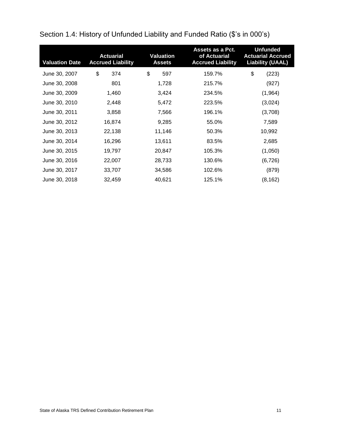| <b>Valuation Date</b> | <b>Actuarial</b><br><b>Accrued Liability</b> | <b>Valuation</b><br><b>Assets</b> | Assets as a Pct.<br>of Actuarial<br><b>Accrued Liability</b> | <b>Unfunded</b><br><b>Actuarial Accrued</b><br><b>Liability (UAAL)</b> |
|-----------------------|----------------------------------------------|-----------------------------------|--------------------------------------------------------------|------------------------------------------------------------------------|
| June 30, 2007         | \$<br>374                                    | \$<br>597                         | 159.7%                                                       | \$<br>(223)                                                            |
| June 30, 2008         | 801                                          | 1,728                             | 215.7%                                                       | (927)                                                                  |
| June 30, 2009         | 1,460                                        | 3,424                             | 234.5%                                                       | (1,964)                                                                |
| June 30, 2010         | 2,448                                        | 5,472                             | 223.5%                                                       | (3,024)                                                                |
| June 30, 2011         | 3,858                                        | 7,566                             | 196.1%                                                       | (3,708)                                                                |
| June 30, 2012         | 16,874                                       | 9,285                             | 55.0%                                                        | 7,589                                                                  |
| June 30, 2013         | 22,138                                       | 11,146                            | 50.3%                                                        | 10,992                                                                 |
| June 30, 2014         | 16,296                                       | 13,611                            | 83.5%                                                        | 2,685                                                                  |
| June 30, 2015         | 19,797                                       | 20,847                            | 105.3%                                                       | (1,050)                                                                |
| June 30, 2016         | 22,007                                       | 28,733                            | 130.6%                                                       | (6, 726)                                                               |
| June 30, 2017         | 33,707                                       | 34,586                            | 102.6%                                                       | (879)                                                                  |
| June 30, 2018         | 32,459                                       | 40,621                            | 125.1%                                                       | (8, 162)                                                               |

<span id="page-15-0"></span>Section 1.4: History of Unfunded Liability and Funded Ratio (\$'s in 000's)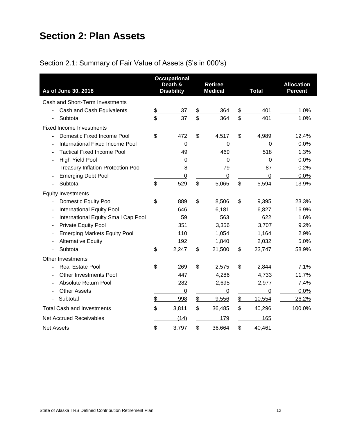# <span id="page-16-0"></span>**Section 2: Plan Assets**

# <span id="page-16-1"></span>Section 2.1: Summary of Fair Value of Assets (\$'s in 000's)

| As of June 30, 2018                                                       |               | <b>Occupational</b><br>Death &<br><b>Disability</b> |               | <b>Retiree</b><br><b>Medical</b> |                           | <b>Total</b>     | <b>Allocation</b><br><b>Percent</b> |
|---------------------------------------------------------------------------|---------------|-----------------------------------------------------|---------------|----------------------------------|---------------------------|------------------|-------------------------------------|
| Cash and Short-Term Investments                                           |               |                                                     |               |                                  |                           |                  |                                     |
| Cash and Cash Equivalents                                                 | $\frac{1}{2}$ | 37                                                  | $\frac{1}{2}$ | 364                              | $\frac{2}{3}$             | 401              | 1.0%                                |
| Subtotal<br>$\blacksquare$                                                | \$            | 37                                                  | \$            | 364                              | \$                        | 401              | 1.0%                                |
| <b>Fixed Income Investments</b>                                           |               |                                                     |               |                                  |                           |                  |                                     |
| Domestic Fixed Income Pool                                                | \$            | 472                                                 | \$            | 4,517                            | \$                        | 4,989            | 12.4%                               |
| International Fixed Income Pool                                           |               | $\mathbf 0$                                         |               | 0                                |                           | 0                | 0.0%                                |
| <b>Tactical Fixed Income Pool</b>                                         |               | 49                                                  |               | 469                              |                           | 518              | 1.3%                                |
| <b>High Yield Pool</b><br>$\overline{\phantom{a}}$                        |               | 0                                                   |               | 0                                |                           | 0                | 0.0%                                |
| <b>Treasury Inflation Protection Pool</b><br>$\qquad \qquad \blacksquare$ |               | 8                                                   |               | 79                               |                           | 87               | 0.2%                                |
| <b>Emerging Debt Pool</b>                                                 |               | 0                                                   |               | 0                                |                           | $\boldsymbol{0}$ | 0.0%                                |
| Subtotal                                                                  | \$            | 529                                                 | \$            | 5,065                            | $\boldsymbol{\mathsf{S}}$ | 5,594            | 13.9%                               |
| <b>Equity Investments</b>                                                 |               |                                                     |               |                                  |                           |                  |                                     |
| <b>Domestic Equity Pool</b><br>$\overline{a}$                             | \$            | 889                                                 | \$            | 8,506                            | \$                        | 9,395            | 23.3%                               |
| <b>International Equity Pool</b>                                          |               | 646                                                 |               | 6,181                            |                           | 6,827            | 16.9%                               |
| International Equity Small Cap Pool<br>$\qquad \qquad \blacksquare$       |               | 59                                                  |               | 563                              |                           | 622              | 1.6%                                |
| Private Equity Pool<br>$\blacksquare$                                     |               | 351                                                 |               | 3,356                            |                           | 3,707            | 9.2%                                |
| <b>Emerging Markets Equity Pool</b>                                       |               | 110                                                 |               | 1,054                            |                           | 1,164            | 2.9%                                |
| <b>Alternative Equity</b>                                                 |               | 192                                                 |               | 1,840                            |                           | 2,032            | 5.0%                                |
| Subtotal                                                                  | \$            | 2,247                                               | \$            | 21,500                           | \$                        | 23,747           | 58.9%                               |
| <b>Other Investments</b>                                                  |               |                                                     |               |                                  |                           |                  |                                     |
| Real Estate Pool                                                          | \$            | 269                                                 | \$            | 2,575                            | \$                        | 2,844            | 7.1%                                |
| <b>Other Investments Pool</b><br>$\overline{\phantom{a}}$                 |               | 447                                                 |               | 4,286                            |                           | 4,733            | 11.7%                               |
| Absolute Return Pool                                                      |               | 282                                                 |               | 2,695                            |                           | 2,977            | 7.4%                                |
| <b>Other Assets</b>                                                       |               | $\pmb{0}$                                           |               | $\overline{0}$                   |                           | $\mathbf 0$      | 0.0%                                |
| Subtotal                                                                  | \$            | 998                                                 | $\frac{1}{2}$ | 9,556                            | $\frac{2}{2}$             | 10,554           | 26.2%                               |
| <b>Total Cash and Investments</b>                                         | \$            | 3,811                                               | \$            | 36,485                           | \$                        | 40,296           | 100.0%                              |
| <b>Net Accrued Receivables</b>                                            |               | (14)                                                |               | 179                              |                           | 165              |                                     |
| <b>Net Assets</b>                                                         | \$            | 3,797                                               | \$            | 36,664                           | \$                        | 40,461           |                                     |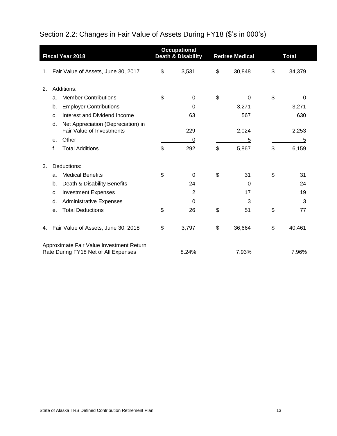# <span id="page-17-0"></span>Section 2.2: Changes in Fair Value of Assets During FY18 (\$'s in 000's)

|    |    | <b>Fiscal Year 2018</b>                                                          | <b>Occupational</b><br><b>Death &amp; Disability</b> | <b>Retiree Medical</b> | <b>Total</b> |        |  |
|----|----|----------------------------------------------------------------------------------|------------------------------------------------------|------------------------|--------------|--------|--|
| 1. |    | Fair Value of Assets, June 30, 2017                                              | \$<br>3,531                                          | \$<br>30,848           | \$           | 34,379 |  |
| 2. |    | Additions:                                                                       |                                                      |                        |              |        |  |
|    | a. | <b>Member Contributions</b>                                                      | \$<br>0                                              | \$<br>$\Omega$         | \$           | 0      |  |
|    | b. | <b>Employer Contributions</b>                                                    | 0                                                    | 3,271                  |              | 3,271  |  |
|    | C. | Interest and Dividend Income                                                     | 63                                                   | 567                    |              | 630    |  |
|    | d. | Net Appreciation (Depreciation) in<br><b>Fair Value of Investments</b>           | 229                                                  | 2,024                  |              | 2,253  |  |
|    | е. | Other                                                                            | 0                                                    | 5                      |              | 5      |  |
|    | f. | <b>Total Additions</b>                                                           | \$<br>292                                            | \$<br>5,867            | \$           | 6,159  |  |
| 3. |    | Deductions:                                                                      |                                                      |                        |              |        |  |
|    | a. | <b>Medical Benefits</b>                                                          | \$<br>0                                              | \$<br>31               | \$           | 31     |  |
|    | b. | Death & Disability Benefits                                                      | 24                                                   | $\Omega$               |              | 24     |  |
|    | C. | <b>Investment Expenses</b>                                                       | 2                                                    | 17                     |              | 19     |  |
|    | d. | <b>Administrative Expenses</b>                                                   | 0                                                    | 3                      |              | 3      |  |
|    | е. | <b>Total Deductions</b>                                                          | \$<br>26                                             | \$<br>51               | \$           | 77     |  |
| 4. |    | Fair Value of Assets, June 30, 2018                                              | \$<br>3,797                                          | \$<br>36,664           | \$           | 40,461 |  |
|    |    | Approximate Fair Value Investment Return<br>Rate During FY18 Net of All Expenses | 8.24%                                                | 7.93%                  |              | 7.96%  |  |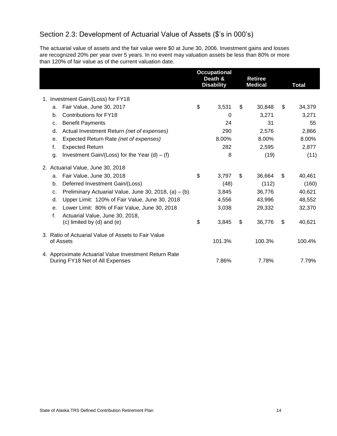# <span id="page-18-0"></span>Section 2.3: Development of Actuarial Value of Assets (\$'s in 000's)

The actuarial value of assets and the fair value were \$0 at June 30, 2006. Investment gains and losses are recognized 20% per year over 5 years. In no event may valuation assets be less than 80% or more than 120% of fair value as of the current valuation date.

|    |                                                         | <b>Occupational</b><br>Death &<br><b>Disability</b> | <b>Retiree</b><br><b>Medical</b> | <b>Total</b> |
|----|---------------------------------------------------------|-----------------------------------------------------|----------------------------------|--------------|
|    |                                                         |                                                     |                                  |              |
|    | 1. Investment Gain/(Loss) for FY18                      |                                                     |                                  |              |
| a. | Fair Value, June 30, 2017                               | \$<br>3,531                                         | \$<br>30,848                     | \$<br>34,379 |
| b. | Contributions for FY18                                  | 0                                                   | 3,271                            | 3,271        |
| C. | <b>Benefit Payments</b>                                 | 24                                                  | 31                               | 55           |
| d. | Actual Investment Return (net of expenses)              | 290                                                 | 2,576                            | 2,866        |
| е. | Expected Return Rate (net of expenses)                  | 8.00%                                               | 8.00%                            | 8.00%        |
| f. | <b>Expected Return</b>                                  | 282                                                 | 2,595                            | 2,877        |
| g. | Investment Gain/(Loss) for the Year (d) $-$ (f)         | 8                                                   | (19)                             | (11)         |
|    | 2. Actuarial Value, June 30, 2018                       |                                                     |                                  |              |
| a. | Fair Value, June 30, 2018                               | \$<br>3,797                                         | \$<br>36,664                     | \$<br>40,461 |
| b. | Deferred Investment Gain/(Loss)                         | (48)                                                | (112)                            | (160)        |
| c. | Preliminary Actuarial Value, June 30, 2018, $(a) - (b)$ | 3,845                                               | 36,776                           | 40,621       |
| d. | Upper Limit: 120% of Fair Value, June 30, 2018          | 4,556                                               | 43,996                           | 48,552       |
| е. | Lower Limit: 80% of Fair Value, June 30, 2018           | 3,038                                               | 29,332                           | 32,370       |
| f. | Actuarial Value, June 30, 2018,                         |                                                     |                                  |              |
|    | (c) limited by (d) and (e)                              | \$<br>3,845                                         | \$<br>36,776                     | \$<br>40,621 |
|    | 3. Ratio of Actuarial Value of Assets to Fair Value     |                                                     |                                  |              |
|    | of Assets                                               | 101.3%                                              | 100.3%                           | 100.4%       |
|    | 4. Approximate Actuarial Value Investment Return Rate   |                                                     |                                  |              |
|    | During FY18 Net of All Expenses                         | 7.86%                                               | 7.78%                            | 7.79%        |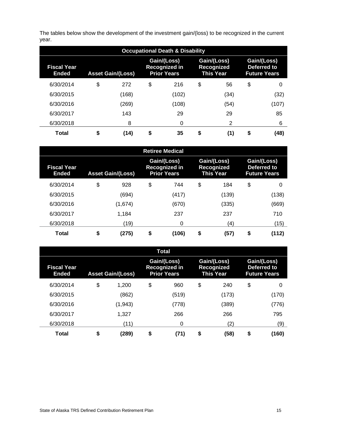The tables below show the development of the investment gain/(loss) to be recognized in the current year.

| <b>Occupational Death &amp; Disability</b> |                          |       |                                                           |       |                                                      |      |                                                   |       |  |  |
|--------------------------------------------|--------------------------|-------|-----------------------------------------------------------|-------|------------------------------------------------------|------|---------------------------------------------------|-------|--|--|
| <b>Fiscal Year</b><br>Ended                | <b>Asset Gain/(Loss)</b> |       | Gain/(Loss)<br><b>Recognized in</b><br><b>Prior Years</b> |       | Gain/(Loss)<br><b>Recognized</b><br><b>This Year</b> |      | Gain/(Loss)<br>Deferred to<br><b>Future Years</b> |       |  |  |
| 6/30/2014                                  | \$                       | 272   | \$                                                        | 216   | \$                                                   | 56   | \$                                                | 0     |  |  |
| 6/30/2015                                  |                          | (168) |                                                           | (102) |                                                      | (34) |                                                   | (32)  |  |  |
| 6/30/2016                                  |                          | (269) |                                                           | (108) |                                                      | (54) |                                                   | (107) |  |  |
| 6/30/2017                                  |                          | 143   |                                                           | 29    |                                                      | 29   |                                                   | 85    |  |  |
| 6/30/2018                                  |                          | 8     |                                                           | 0     |                                                      | 2    |                                                   | 6     |  |  |
| <b>Total</b>                               | \$                       | (14)  | \$                                                        | 35    | \$                                                   | (1)  | \$                                                | (48)  |  |  |

| <b>Retiree Medical</b>      |                          |         |                                                           |       |    |       |                                               |                                                   |  |  |
|-----------------------------|--------------------------|---------|-----------------------------------------------------------|-------|----|-------|-----------------------------------------------|---------------------------------------------------|--|--|
| Fiscal Year<br><b>Ended</b> | <b>Asset Gain/(Loss)</b> |         | Gain/(Loss)<br><b>Recognized in</b><br><b>Prior Years</b> |       |    |       | Gain/(Loss)<br>Recognized<br><b>This Year</b> | Gain/(Loss)<br>Deferred to<br><b>Future Years</b> |  |  |
| 6/30/2014                   | \$                       | 928     | \$                                                        | 744   | \$ | 184   | \$                                            | 0                                                 |  |  |
| 6/30/2015                   |                          | (694)   |                                                           | (417) |    | (139) |                                               | (138)                                             |  |  |
| 6/30/2016                   |                          | (1,674) |                                                           | (670) |    | (335) |                                               | (669)                                             |  |  |
| 6/30/2017                   |                          | 1,184   |                                                           | 237   |    | 237   |                                               | 710                                               |  |  |
| 6/30/2018                   |                          | (19)    |                                                           | 0     |    | (4)   |                                               | (15)                                              |  |  |
| <b>Total</b>                | \$                       | (275)   | \$                                                        | (106) | \$ | (57)  | \$                                            | (112)                                             |  |  |

|                                    |                          |          | <b>Total</b>                                              |            |                                                      |                                                   |  |
|------------------------------------|--------------------------|----------|-----------------------------------------------------------|------------|------------------------------------------------------|---------------------------------------------------|--|
| <b>Fiscal Year</b><br><b>Ended</b> | <b>Asset Gain/(Loss)</b> |          | Gain/(Loss)<br><b>Recognized in</b><br><b>Prior Years</b> |            | Gain/(Loss)<br><b>Recognized</b><br><b>This Year</b> | Gain/(Loss)<br>Deferred to<br><b>Future Years</b> |  |
| 6/30/2014                          | \$                       | 1,200    | \$<br>960                                                 | \$<br>240  | \$                                                   | 0                                                 |  |
| 6/30/2015                          |                          | (862)    | (519)                                                     | (173)      |                                                      | (170)                                             |  |
| 6/30/2016                          |                          | (1, 943) | (778)                                                     | (389)      |                                                      | (776)                                             |  |
| 6/30/2017                          |                          | 1,327    | 266                                                       | 266        |                                                      | 795                                               |  |
| 6/30/2018                          |                          | (11)     | 0                                                         | (2)        |                                                      | (9)                                               |  |
| <b>Total</b>                       | \$                       | (289)    | \$<br>(71)                                                | \$<br>(58) | \$                                                   | (160)                                             |  |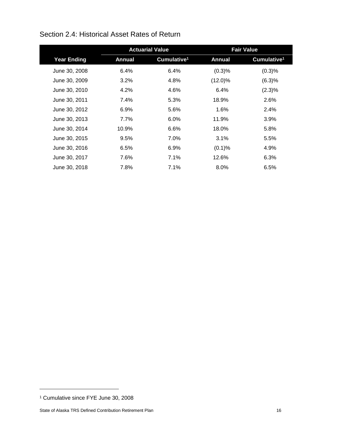|                    |         | <b>Actuarial Value</b>  |               | <b>Fair Value</b>       |
|--------------------|---------|-------------------------|---------------|-------------------------|
| <b>Year Ending</b> | Annual  | Cumulative <sup>1</sup> | <b>Annual</b> | Cumulative <sup>1</sup> |
| June 30, 2008      | 6.4%    | 6.4%                    | (0.3)%        | (0.3)%                  |
| June 30, 2009      | 3.2%    | 4.8%                    | $(12.0)\%$    | (6.3)%                  |
| June 30, 2010      | 4.2%    | 4.6%                    | $6.4\%$       | (2.3)%                  |
| June 30, 2011      | 7.4%    | 5.3%                    | 18.9%         | 2.6%                    |
| June 30, 2012      | $6.9\%$ | 5.6%                    | 1.6%          | 2.4%                    |
| June 30, 2013      | 7.7%    | 6.0%                    | 11.9%         | 3.9%                    |
| June 30, 2014      | 10.9%   | 6.6%                    | 18.0%         | 5.8%                    |
| June 30, 2015      | 9.5%    | 7.0%                    | 3.1%          | 5.5%                    |
| June 30, 2016      | 6.5%    | 6.9%                    | (0.1)%        | 4.9%                    |
| June 30, 2017      | 7.6%    | 7.1%                    | 12.6%         | 6.3%                    |
| June 30, 2018      | 7.8%    | 7.1%                    | 8.0%          | 6.5%                    |

## <span id="page-20-0"></span>Section 2.4: Historical Asset Rates of Return

<sup>1</sup> Cumulative since FYE June 30, 2008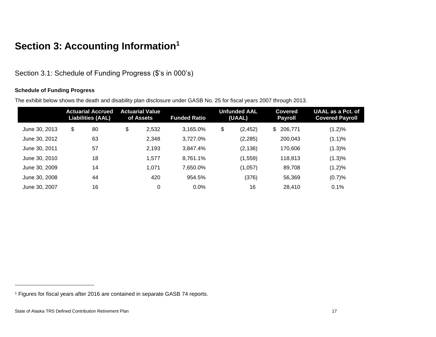# **Section 3: Accounting Information<sup>1</sup>**

Section 3.1: Schedule of Funding Progress (\$'s in 000's)

#### **Schedule of Funding Progress**

The exhibit below shows the death and disability plan disclosure under GASB No. 25 for fiscal years 2007 through 2013.

<span id="page-21-1"></span><span id="page-21-0"></span>

|               | <b>Liabilities (AAL)</b> | <b>Actuarial Accrued</b> | <b>Actuarial Value</b><br>of Assets | <b>Funded Ratio</b> | Unfunded AAL<br>(UAAL) |          | <b>Covered</b><br><b>Payroll</b> | <b>UAAL as a Pct. of</b><br><b>Covered Payroll</b> |
|---------------|--------------------------|--------------------------|-------------------------------------|---------------------|------------------------|----------|----------------------------------|----------------------------------------------------|
| June 30, 2013 | \$                       | 80                       | \$<br>2,532                         | 3,165.0%            | \$                     | (2, 452) | \$<br>206,771                    | $(1.2)\%$                                          |
| June 30, 2012 |                          | 63                       | 2,348                               | 3,727.0%            |                        | (2, 285) | 200,043                          | (1.1)%                                             |
| June 30, 2011 |                          | 57                       | 2,193                               | 3,847.4%            |                        | (2, 136) | 170,606                          | (1.3)%                                             |
| June 30, 2010 |                          | 18                       | 1,577                               | 8.761.1%            |                        | (1, 559) | 118.813                          | (1.3)%                                             |
| June 30, 2009 |                          | 14                       | 1,071                               | 7.650.0%            |                        | (1,057)  | 89,708                           | (1.2)%                                             |
| June 30, 2008 |                          | 44                       | 420                                 | 954.5%              |                        | (376)    | 56,369                           | (0.7)%                                             |
| June 30, 2007 |                          | 16                       | 0                                   | 0.0%                |                        | 16       | 28.410                           | 0.1%                                               |

<sup>1</sup> Figures for fiscal years after 2016 are contained in separate GASB 74 reports.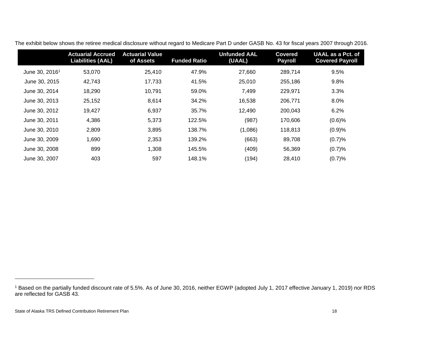|                            | <b>Actuarial Accrued</b><br><b>Liabilities (AAL)</b> | <b>Actuarial Value</b><br>of Assets | <b>Funded Ratio</b> | <b>Unfunded AAL</b><br>(UAAL) | <b>Covered</b><br><b>Payroll</b> | <b>UAAL as a Pct. of</b><br><b>Covered Payroll</b> |
|----------------------------|------------------------------------------------------|-------------------------------------|---------------------|-------------------------------|----------------------------------|----------------------------------------------------|
| June 30, 2016 <sup>1</sup> | 53,070                                               | 25,410                              | 47.9%               | 27,660                        | 289,714                          | 9.5%                                               |
| June 30, 2015              | 42,743                                               | 17,733                              | 41.5%               | 25,010                        | 255,186                          | 9.8%                                               |
| June 30, 2014              | 18,290                                               | 10,791                              | 59.0%               | 7,499                         | 229,971                          | 3.3%                                               |
| June 30, 2013              | 25,152                                               | 8,614                               | 34.2%               | 16,538                        | 206,771                          | 8.0%                                               |
| June 30, 2012              | 19,427                                               | 6,937                               | 35.7%               | 12,490                        | 200,043                          | 6.2%                                               |
| June 30, 2011              | 4,386                                                | 5.373                               | 122.5%              | (987)                         | 170,606                          | $(0.6)$ %                                          |
| June 30, 2010              | 2,809                                                | 3,895                               | 138.7%              | (1,086)                       | 118,813                          | (0.9)%                                             |
| June 30, 2009              | 1,690                                                | 2,353                               | 139.2%              | (663)                         | 89,708                           | (0.7)%                                             |
| June 30, 2008              | 899                                                  | 1,308                               | 145.5%              | (409)                         | 56,369                           | (0.7)%                                             |
| June 30, 2007              | 403                                                  | 597                                 | 148.1%              | (194)                         | 28,410                           | (0.7)%                                             |

The exhibit below shows the retiree medical disclosure without regard to Medicare Part D under GASB No. 43 for fiscal years 2007 through 2016.

<sup>1</sup> Based on the partially funded discount rate of 5.5%. As of June 30, 2016, neither EGWP (adopted July 1, 2017 effective January 1, 2019) nor RDS are reflected for GASB 43.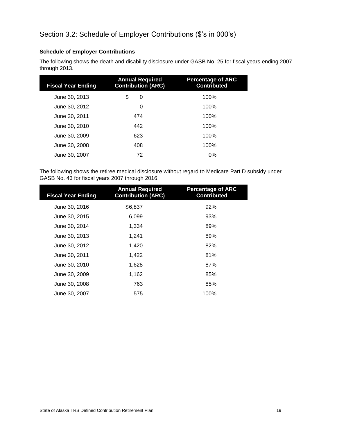#### <span id="page-23-0"></span>**Schedule of Employer Contributions**

The following shows the death and disability disclosure under GASB No. 25 for fiscal years ending 2007 through 2013.

| <b>Fiscal Year Ending</b> | <b>Annual Required</b><br><b>Contribution (ARC)</b> | <b>Percentage of ARC</b><br><b>Contributed</b> |
|---------------------------|-----------------------------------------------------|------------------------------------------------|
| June 30, 2013             | \$<br>0                                             | 100%                                           |
| June 30, 2012             | 0                                                   | 100%                                           |
| June 30, 2011             | 474                                                 | 100%                                           |
| June 30, 2010             | 442                                                 | 100%                                           |
| June 30, 2009             | 623                                                 | 100%                                           |
| June 30, 2008             | 408                                                 | 100%                                           |
| June 30, 2007             | 72                                                  | $0\%$                                          |

The following shows the retiree medical disclosure without regard to Medicare Part D subsidy under GASB No. 43 for fiscal years 2007 through 2016.

| <b>Fiscal Year Ending</b> | <b>Annual Required</b><br><b>Contribution (ARC)</b> | <b>Percentage of ARC</b><br><b>Contributed</b> |
|---------------------------|-----------------------------------------------------|------------------------------------------------|
| June 30, 2016             | \$6,837                                             | 92%                                            |
| June 30, 2015             | 6,099                                               | 93%                                            |
| June 30, 2014             | 1,334                                               | 89%                                            |
| June 30, 2013             | 1.241                                               | 89%                                            |
| June 30, 2012             | 1,420                                               | 82%                                            |
| June 30, 2011             | 1,422                                               | 81%                                            |
| June 30, 2010             | 1,628                                               | 87%                                            |
| June 30, 2009             | 1,162                                               | 85%                                            |
| June 30, 2008             | 763                                                 | 85%                                            |
| June 30, 2007             | 575                                                 | 100%                                           |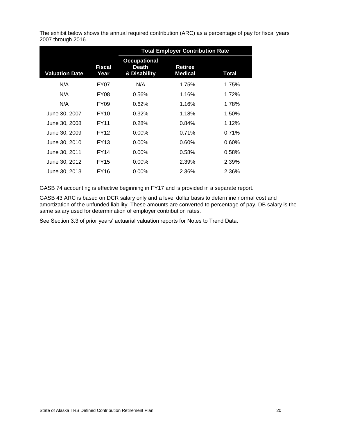The exhibit below shows the annual required contribution (ARC) as a percentage of pay for fiscal years 2007 through 2016.

|                       |                  |                                              | <b>Total Employer Contribution Rate</b> |       |
|-----------------------|------------------|----------------------------------------------|-----------------------------------------|-------|
| <b>Valuation Date</b> | Fiscal<br>Year   | <b>Occupational</b><br>Death<br>& Disability | Retiree<br><b>Medical</b>               | Total |
| N/A                   | FY07             | N/A                                          | 1.75%                                   | 1.75% |
| N/A                   | FY <sub>08</sub> | 0.56%                                        | 1.16%                                   | 1.72% |
| N/A                   | FY <sub>09</sub> | 0.62%                                        | 1.16%                                   | 1.78% |
| June 30, 2007         | <b>FY10</b>      | $0.32\%$                                     | 1.18%                                   | 1.50% |
| June 30, 2008         | <b>FY11</b>      | 0.28%                                        | 0.84%                                   | 1.12% |
| June 30, 2009         | <b>FY12</b>      | $0.00\%$                                     | 0.71%                                   | 0.71% |
| June 30, 2010         | FY13             | $0.00\%$                                     | 0.60%                                   | 0.60% |
| June 30, 2011         | FY14             | $0.00\%$                                     | 0.58%                                   | 0.58% |
| June 30, 2012         | <b>FY15</b>      | $0.00\%$                                     | 2.39%                                   | 2.39% |
| June 30, 2013         | FY16             | $0.00\%$                                     | 2.36%                                   | 2.36% |

GASB 74 accounting is effective beginning in FY17 and is provided in a separate report.

GASB 43 ARC is based on DCR salary only and a level dollar basis to determine normal cost and amortization of the unfunded liability. These amounts are converted to percentage of pay. DB salary is the same salary used for determination of employer contribution rates.

See Section 3.3 of prior years' actuarial valuation reports for Notes to Trend Data.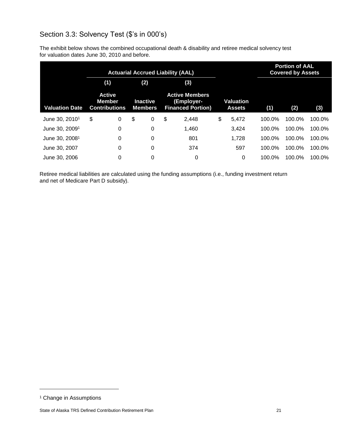# <span id="page-25-0"></span>Section 3.3: Solvency Test (\$'s in 000's)

The exhibit below shows the combined occupational death & disability and retiree medical solvency test for valuation dates June 30, 2010 and before.

| <b>Actuarial Accrued Liability (AAL)</b> |    |                                                 |    |                                   |    |                                                                 |    |                            |        | <b>Portion of AAL</b><br><b>Covered by Assets</b> |        |
|------------------------------------------|----|-------------------------------------------------|----|-----------------------------------|----|-----------------------------------------------------------------|----|----------------------------|--------|---------------------------------------------------|--------|
|                                          |    | (1)                                             |    | (2)                               |    | (3)                                                             |    |                            |        |                                                   |        |
| <b>Valuation Date</b>                    |    | <b>Active</b><br>Member<br><b>Contributions</b> |    | <b>Inactive</b><br><b>Members</b> |    | <b>Active Members</b><br>(Employer-<br><b>Financed Portion)</b> |    | Valuation<br><b>Assets</b> | (1)    | (2)                                               | (3)    |
| June 30, 2010 <sup>1</sup>               | \$ | 0                                               | \$ | 0                                 | \$ | 2,448                                                           | \$ | 5,472                      | 100.0% | 100.0%                                            | 100.0% |
| June 30, 2009 <sup>1</sup>               |    | 0                                               |    | 0                                 |    | 1,460                                                           |    | 3,424                      | 100.0% | 100.0%                                            | 100.0% |
| June 30, 2008 <sup>1</sup>               |    | 0                                               |    | 0                                 |    | 801                                                             |    | 1,728                      | 100.0% | 100.0%                                            | 100.0% |
| June 30, 2007                            |    | 0                                               |    | 0                                 |    | 374                                                             |    | 597                        | 100.0% | 100.0%                                            | 100.0% |
| June 30, 2006                            |    | 0                                               |    | 0                                 |    | 0                                                               |    | 0                          | 100.0% | 100.0%                                            | 100.0% |

Retiree medical liabilities are calculated using the funding assumptions (i.e., funding investment return and net of Medicare Part D subsidy).

<sup>&</sup>lt;sup>1</sup> Change in Assumptions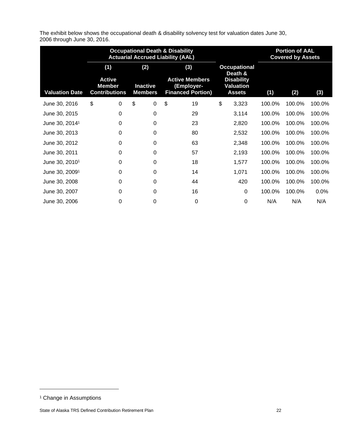The exhibit below shows the occupational death & disability solvency test for valuation dates June 30, 2006 through June 30, 2016.

|                            | <b>Occupational Death &amp; Disability</b><br><b>Actuarial Accrued Liability (AAL)</b> |                                   |                                                                 |                                                        |        | <b>Portion of AAL</b><br><b>Covered by Assets</b> |         |
|----------------------------|----------------------------------------------------------------------------------------|-----------------------------------|-----------------------------------------------------------------|--------------------------------------------------------|--------|---------------------------------------------------|---------|
|                            | (1)                                                                                    | (2)                               | (3)                                                             | <b>Occupational</b><br>Death &                         |        |                                                   |         |
| <b>Valuation Date</b>      | <b>Active</b><br><b>Member</b><br><b>Contributions</b>                                 | <b>Inactive</b><br><b>Members</b> | <b>Active Members</b><br>(Employer-<br><b>Financed Portion)</b> | <b>Disability</b><br><b>Valuation</b><br><b>Assets</b> | (1)    | (2)                                               | (3)     |
| June 30, 2016              | \$<br>0                                                                                | \$<br>0                           | \$<br>19                                                        | \$<br>3,323                                            | 100.0% | 100.0%                                            | 100.0%  |
| June 30, 2015              | 0                                                                                      | 0                                 | 29                                                              | 3,114                                                  | 100.0% | 100.0%                                            | 100.0%  |
| June 30, 2014 <sup>1</sup> | $\Omega$                                                                               | $\Omega$                          | 23                                                              | 2,820                                                  | 100.0% | 100.0%                                            | 100.0%  |
| June 30, 2013              | 0                                                                                      | 0                                 | 80                                                              | 2,532                                                  | 100.0% | 100.0%                                            | 100.0%  |
| June 30, 2012              | 0                                                                                      | 0                                 | 63                                                              | 2,348                                                  | 100.0% | 100.0%                                            | 100.0%  |
| June 30, 2011              | $\Omega$                                                                               | 0                                 | 57                                                              | 2,193                                                  | 100.0% | 100.0%                                            | 100.0%  |
| June 30, 2010 <sup>1</sup> | 0                                                                                      | 0                                 | 18                                                              | 1,577                                                  | 100.0% | 100.0%                                            | 100.0%  |
| June 30, 2009 <sup>1</sup> | 0                                                                                      | 0                                 | 14                                                              | 1,071                                                  | 100.0% | 100.0%                                            | 100.0%  |
| June 30, 2008              | 0                                                                                      | 0                                 | 44                                                              | 420                                                    | 100.0% | 100.0%                                            | 100.0%  |
| June 30, 2007              | 0                                                                                      | 0                                 | 16                                                              | $\Omega$                                               | 100.0% | 100.0%                                            | $0.0\%$ |
| June 30, 2006              | 0                                                                                      | 0                                 | 0                                                               | 0                                                      | N/A    | N/A                                               | N/A     |

<sup>&</sup>lt;sup>1</sup> Change in Assumptions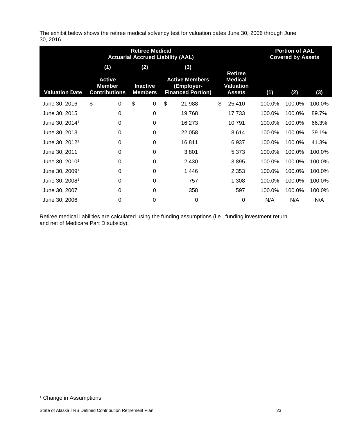The exhibit below shows the retiree medical solvency test for valuation dates June 30, 2006 through June 30, 2016.

|                            | <b>Actuarial Accrued Liability (AAL)</b>               | <b>Retiree Medical</b> |                                   |                                                                        |                                                                       | <b>Portion of AAL</b><br><b>Covered by Assets</b> |        |        |
|----------------------------|--------------------------------------------------------|------------------------|-----------------------------------|------------------------------------------------------------------------|-----------------------------------------------------------------------|---------------------------------------------------|--------|--------|
|                            | (1)                                                    |                        | (2)                               | (3)                                                                    |                                                                       |                                                   |        |        |
| <b>Valuation Date</b>      | <b>Active</b><br><b>Member</b><br><b>Contributions</b> |                        | <b>Inactive</b><br><b>Members</b> | <b>Active Members</b><br><b>(Employer-</b><br><b>Financed Portion)</b> | <b>Retiree</b><br><b>Medical</b><br><b>Valuation</b><br><b>Assets</b> | (1)                                               | (2)    | (3)    |
| June 30, 2016              | \$<br>0                                                | \$                     | 0                                 | \$<br>21,988                                                           | \$<br>25,410                                                          | 100.0%                                            | 100.0% | 100.0% |
| June 30, 2015              | 0                                                      |                        | 0                                 | 19,768                                                                 | 17,733                                                                | 100.0%                                            | 100.0% | 89.7%  |
| June 30, 2014 <sup>1</sup> | $\Omega$                                               |                        | $\Omega$                          | 16,273                                                                 | 10,791                                                                | 100.0%                                            | 100.0% | 66.3%  |
| June 30, 2013              | 0                                                      |                        | 0                                 | 22,058                                                                 | 8,614                                                                 | 100.0%                                            | 100.0% | 39.1%  |
| June 30, 2012 <sup>1</sup> | 0                                                      |                        | 0                                 | 16,811                                                                 | 6,937                                                                 | 100.0%                                            | 100.0% | 41.3%  |
| June 30, 2011              | $\Omega$                                               |                        | 0                                 | 3,801                                                                  | 5,373                                                                 | 100.0%                                            | 100.0% | 100.0% |
| June 30, 2010 <sup>1</sup> | $\Omega$                                               |                        | 0                                 | 2,430                                                                  | 3,895                                                                 | 100.0%                                            | 100.0% | 100.0% |
| June 30, 2009 <sup>1</sup> | 0                                                      |                        | 0                                 | 1,446                                                                  | 2,353                                                                 | 100.0%                                            | 100.0% | 100.0% |
| June 30, 2008 <sup>1</sup> | $\Omega$                                               |                        | $\Omega$                          | 757                                                                    | 1,308                                                                 | 100.0%                                            | 100.0% | 100.0% |
| June 30, 2007              | $\Omega$                                               |                        | 0                                 | 358                                                                    | 597                                                                   | 100.0%                                            | 100.0% | 100.0% |
| June 30, 2006              | 0                                                      |                        | 0                                 | 0                                                                      | 0                                                                     | N/A                                               | N/A    | N/A    |

Retiree medical liabilities are calculated using the funding assumptions (i.e., funding investment return and net of Medicare Part D subsidy).

<sup>&</sup>lt;sup>1</sup> Change in Assumptions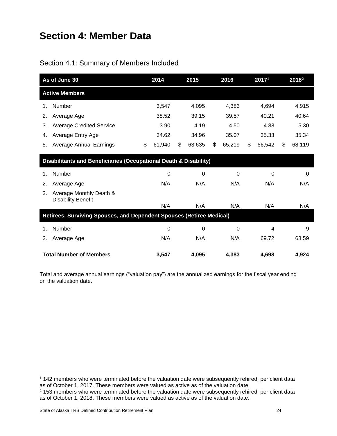# <span id="page-28-0"></span>**Section 4: Member Data**

<span id="page-28-1"></span>

| As of June 30                                                                | 2014         | 2015         | 2016         | 20171        |     | <b>2018</b> <sup>2</sup> |
|------------------------------------------------------------------------------|--------------|--------------|--------------|--------------|-----|--------------------------|
| <b>Active Members</b>                                                        |              |              |              |              |     |                          |
| Number<br>1.                                                                 | 3,547        | 4,095        | 4,383        | 4,694        |     | 4,915                    |
| Average Age<br>2.                                                            | 38.52        | 39.15        | 39.57        | 40.21        |     | 40.64                    |
| <b>Average Credited Service</b><br>3.                                        | 3.90         | 4.19         | 4.50         | 4.88         |     | 5.30                     |
| Average Entry Age<br>4.                                                      | 34.62        | 34.96        | 35.07        | 35.33        |     | 35.34                    |
| 5.<br><b>Average Annual Earnings</b>                                         | \$<br>61,940 | \$<br>63,635 | \$<br>65,219 | \$<br>66,542 | \$. | 68,119                   |
| <b>Disabilitants and Beneficiaries (Occupational Death &amp; Disability)</b> |              |              |              |              |     |                          |
| <b>Number</b><br>1.                                                          | 0            | 0            | 0            | 0            |     | $\Omega$                 |
| Average Age<br>2.                                                            | N/A          | N/A          | N/A          | N/A          |     | N/A                      |
| Average Monthly Death &<br>3.<br><b>Disability Benefit</b>                   |              |              |              |              |     |                          |
|                                                                              | N/A          | N/A          | N/A          | N/A          |     | N/A                      |
| Retirees, Surviving Spouses, and Dependent Spouses (Retiree Medical)         |              |              |              |              |     |                          |
| Number<br>1.                                                                 | 0            | 0            | 0            | 4            |     | 9                        |
| Average Age<br>2.                                                            | N/A          | N/A          | N/A          | 69.72        |     | 68.59                    |
| <b>Total Number of Members</b>                                               | 3,547        | 4,095        | 4,383        | 4,698        |     | 4,924                    |

Total and average annual earnings ("valuation pay") are the annualized earnings for the fiscal year ending on the valuation date.

<sup>1</sup> 142 members who were terminated before the valuation date were subsequently rehired, per client data as of October 1, 2017. These members were valued as active as of the valuation date.

<sup>&</sup>lt;sup>2</sup> 153 members who were terminated before the valuation date were subsequently rehired, per client data as of October 1, 2018. These members were valued as active as of the valuation date.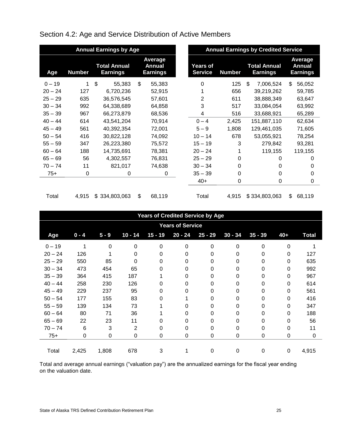| <b>Annual Earnings by Age</b> |               |                                        |    |                                      |  |                            |               | <b>Annual Earnings by Credited Service</b> |                                      |
|-------------------------------|---------------|----------------------------------------|----|--------------------------------------|--|----------------------------|---------------|--------------------------------------------|--------------------------------------|
| Age                           | <b>Number</b> | <b>Total Annual</b><br><b>Earnings</b> |    | Average<br>Annual<br><b>Earnings</b> |  | Years of<br><b>Service</b> | <b>Number</b> | <b>Total Annual</b><br>Earnings            | Average<br>Annual<br><b>Earnings</b> |
| $0 - 19$                      | 1             | \$<br>55,383                           | \$ | 55,383                               |  | $\Omega$                   | 125           | \$<br>7,006,524                            | \$<br>56,052                         |
| $20 - 24$                     | 127           | 6,720,236                              |    | 52,915                               |  |                            | 656           | 39,219,262                                 | 59,785                               |
| $25 - 29$                     | 635           | 36,576,545                             |    | 57,601                               |  | 2                          | 611           | 38,888,349                                 | 63,647                               |
| $30 - 34$                     | 992           | 64,338,689                             |    | 64,858                               |  | 3                          | 517           | 33,084,054                                 | 63,992                               |
| $35 - 39$                     | 967           | 66,273,879                             |    | 68,536                               |  | 4                          | 516           | 33,688,921                                 | 65,289                               |
| $40 - 44$                     | 614           | 43,541,204                             |    | 70,914                               |  | $0 - 4$                    | 2,425         | 151,887,110                                | 62,634                               |
| $45 - 49$                     | 561           | 40,392,354                             |    | 72,001                               |  | $5 - 9$                    | 1,808         | 129,461,035                                | 71,605                               |
| $50 - 54$                     | 416           | 30,822,128                             |    | 74,092                               |  | $10 - 14$                  | 678           | 53,055,921                                 | 78,254                               |
| $55 - 59$                     | 347           | 26,223,380                             |    | 75,572                               |  | $15 - 19$                  | 3             | 279,842                                    | 93,281                               |
| $60 - 64$                     | 188           | 14,735,691                             |    | 78,381                               |  | $20 - 24$                  |               | 119,155                                    | 119,155                              |
| $65 - 69$                     | 56            | 4,302,557                              |    | 76,831                               |  | $25 - 29$                  | 0             | 0                                          | 0                                    |
| $70 - 74$                     | 11            | 821,017                                |    | 74,638                               |  | $30 - 34$                  | 0             | 0                                          | 0                                    |
| $75+$                         | 0             | 0                                      |    | 0                                    |  | $35 - 39$                  | 0             | 0                                          | 0                                    |
|                               |               |                                        |    |                                      |  | $40+$                      | 0             | 0                                          | 0                                    |
| Total                         | 4,915         | \$334,803,063                          | \$ | 68,119                               |  | Total                      | 4,915         | \$334,803,063                              | 68,119<br>\$                         |

# <span id="page-29-0"></span>Section 4.2: Age and Service Distribution of Active Members

|           |                         |         |           |           | <b>Years of Credited Service by Age</b> |           |                  |           |          |              |  |  |  |
|-----------|-------------------------|---------|-----------|-----------|-----------------------------------------|-----------|------------------|-----------|----------|--------------|--|--|--|
|           | <b>Years of Service</b> |         |           |           |                                         |           |                  |           |          |              |  |  |  |
| Age       | $0 - 4$                 | $5 - 9$ | $10 - 14$ | $15 - 19$ | $20 - 24$                               | $25 - 29$ | $30 - 34$        | $35 - 39$ | $40+$    | <b>Total</b> |  |  |  |
| $0 - 19$  |                         | 0       | 0         | $\Omega$  | $\Omega$                                | $\Omega$  | $\Omega$         | $\Omega$  | $\Omega$ |              |  |  |  |
| $20 - 24$ | 126                     |         | 0         | 0         | O.                                      | 0         | 0                | 0         | 0        | 127          |  |  |  |
| $25 - 29$ | 550                     | 85      | 0         | 0         | 0                                       | 0         | 0                | 0         | $\Omega$ | 635          |  |  |  |
| $30 - 34$ | 473                     | 454     | 65        | 0         | 0                                       | 0         | $\Omega$         | 0         | $\Omega$ | 992          |  |  |  |
| $35 - 39$ | 364                     | 415     | 187       |           | 0                                       | 0         | 0                | 0         | $\Omega$ | 967          |  |  |  |
| $40 - 44$ | 258                     | 230     | 126       | 0         | 0                                       | 0         | 0                | 0         | 0        | 614          |  |  |  |
| $45 - 49$ | 229                     | 237     | 95        | 0         | O.                                      | 0         | 0                | 0         | $\Omega$ | 561          |  |  |  |
| $50 - 54$ | 177                     | 155     | 83        | 0         |                                         | 0         | 0                | 0         | $\Omega$ | 416          |  |  |  |
| $55 - 59$ | 139                     | 134     | 73        |           | 0                                       | 0         | 0                | 0         | $\Omega$ | 347          |  |  |  |
| $60 - 64$ | 80                      | 71      | 36        |           | O.                                      | 0         | 0                | 0         | $\Omega$ | 188          |  |  |  |
| $65 - 69$ | 22                      | 23      | 11        | 0         | O                                       | 0         | 0                | 0         | $\Omega$ | 56           |  |  |  |
| $70 - 74$ | 6                       | 3       | 2         | 0         | 0                                       | 0         | 0                | 0         | $\Omega$ | 11           |  |  |  |
| $75+$     | 0                       | 0       | 0         | 0         | 0                                       | 0         | $\boldsymbol{0}$ | 0         | 0        | 0            |  |  |  |
| Total     | 2,425                   | 1,808   | 678       | 3         |                                         | 0         | 0                | 0         | 0        | 4,915        |  |  |  |

Total and average annual earnings ("valuation pay") are the annualized earnings for the fiscal year ending on the valuation date.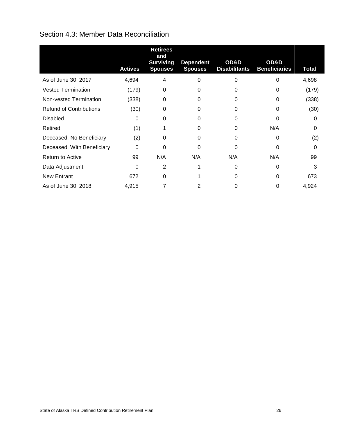## <span id="page-30-0"></span>Section 4.3: Member Data Reconciliation

<span id="page-30-1"></span>

|                                | <b>Actives</b> | <b>Retirees</b><br>and<br><b>Surviving</b><br><b>Spouses</b> | <b>Dependent</b><br><b>Spouses</b> | OD&D<br><b>Disabilitants</b> | OD&D<br><b>Beneficiaries</b> | <b>Total</b> |
|--------------------------------|----------------|--------------------------------------------------------------|------------------------------------|------------------------------|------------------------------|--------------|
| As of June 30, 2017            | 4,694          | 4                                                            | 0                                  | $\Omega$                     | $\Omega$                     | 4,698        |
| <b>Vested Termination</b>      | (179)          | 0                                                            | 0                                  | 0                            | 0                            | (179)        |
| Non-vested Termination         | (338)          | $\Omega$                                                     | 0                                  | 0                            | 0                            | (338)        |
| <b>Refund of Contributions</b> | (30)           | $\Omega$                                                     | 0                                  | U                            | 0                            | (30)         |
| <b>Disabled</b>                | $\Omega$       | $\Omega$                                                     | 0                                  | 0                            | 0                            | $\Omega$     |
| Retired                        | (1)            |                                                              | 0                                  | U                            | N/A                          | 0            |
| Deceased, No Beneficiary       | (2)            | $\Omega$                                                     | 0                                  | $\Omega$                     | $\Omega$                     | (2)          |
| Deceased, With Beneficiary     | $\Omega$       | ∩                                                            | ი                                  | <sup>0</sup>                 | ∩                            | O            |
| Return to Active               | 99             | N/A                                                          | N/A                                | N/A                          | N/A                          | 99           |
| Data Adjustment                | $\Omega$       | $\overline{2}$                                               |                                    | $\Omega$                     | $\Omega$                     | 3            |
| <b>New Entrant</b>             | 672            | $\Omega$                                                     |                                    | 0                            | $\Omega$                     | 673          |
| As of June 30, 2018            | 4,915          |                                                              | 2                                  |                              |                              | 4,924        |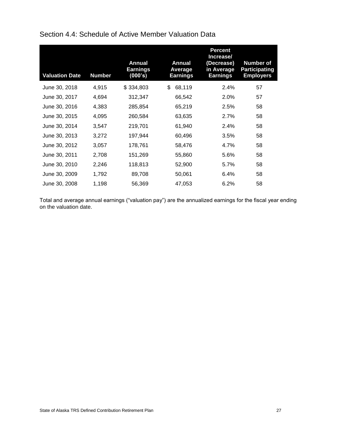| <b>Valuation Date</b> | <b>Number</b> | <b>Annual</b><br><b>Earnings</b><br>(000's) | Annual<br>Average<br><b>Earnings</b> | <b>Percent</b><br>Increase/<br>(Decrease)<br>in Average<br><b>Earnings</b> | <b>Number of</b><br><b>Participating</b><br><b>Employers</b> |
|-----------------------|---------------|---------------------------------------------|--------------------------------------|----------------------------------------------------------------------------|--------------------------------------------------------------|
| June 30, 2018         | 4,915         | \$334,803                                   | \$<br>68,119                         | 2.4%                                                                       | 57                                                           |
| June 30, 2017         | 4,694         | 312,347                                     | 66,542                               | 2.0%                                                                       | 57                                                           |
| June 30, 2016         | 4,383         | 285,854                                     | 65,219                               | 2.5%                                                                       | 58                                                           |
| June 30, 2015         | 4,095         | 260,584                                     | 63,635                               | 2.7%                                                                       | 58                                                           |
| June 30, 2014         | 3,547         | 219,701                                     | 61,940                               | 2.4%                                                                       | 58                                                           |
| June 30, 2013         | 3,272         | 197,944                                     | 60,496                               | 3.5%                                                                       | 58                                                           |
| June 30, 2012         | 3,057         | 178,761                                     | 58,476                               | 4.7%                                                                       | 58                                                           |
| June 30, 2011         | 2,708         | 151,269                                     | 55,860                               | 5.6%                                                                       | 58                                                           |
| June 30, 2010         | 2,246         | 118,813                                     | 52,900                               | 5.7%                                                                       | 58                                                           |
| June 30, 2009         | 1,792         | 89,708                                      | 50,061                               | 6.4%                                                                       | 58                                                           |
| June 30, 2008         | 1,198         | 56,369                                      | 47,053                               | 6.2%                                                                       | 58                                                           |

Section 4.4: Schedule of Active Member Valuation Data

Total and average annual earnings ("valuation pay") are the annualized earnings for the fiscal year ending on the valuation date.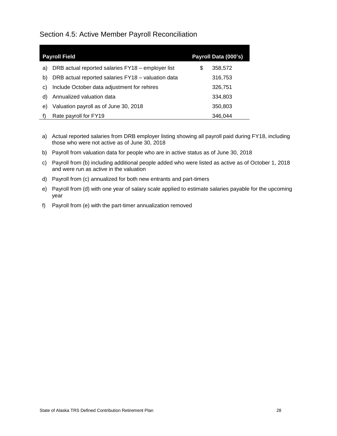<span id="page-32-0"></span>Section 4.5: Active Member Payroll Reconciliation

|    | <b>Payroll Field</b>                               | Payroll Data (000's) |
|----|----------------------------------------------------|----------------------|
| a) | DRB actual reported salaries FY18 - employer list  | \$<br>358,572        |
| b) | DRB actual reported salaries FY18 - valuation data | 316,753              |
| C) | Include October data adjustment for rehires        | 326,751              |
| d) | Annualized valuation data                          | 334,803              |
| e) | Valuation payroll as of June 30, 2018              | 350,803              |
|    | Rate payroll for FY19                              | 346.044              |

- a) Actual reported salaries from DRB employer listing showing all payroll paid during FY18, including those who were not active as of June 30, 2018
- b) Payroll from valuation data for people who are in active status as of June 30, 2018
- c) Payroll from (b) including additional people added who were listed as active as of October 1, 2018 and were run as active in the valuation
- d) Payroll from (c) annualized for both new entrants and part-timers
- e) Payroll from (d) with one year of salary scale applied to estimate salaries payable for the upcoming year
- f) Payroll from (e) with the part-timer annualization removed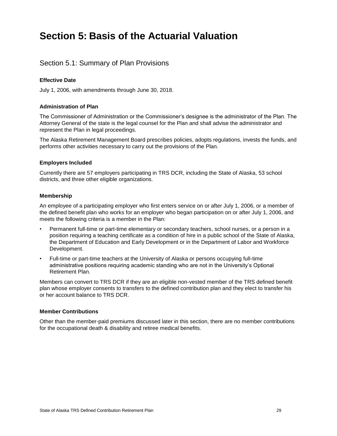# <span id="page-33-0"></span>**Section 5: Basis of the Actuarial Valuation**

## <span id="page-33-1"></span>Section 5.1: Summary of Plan Provisions

#### **Effective Date**

July 1, 2006, with amendments through June 30, 2018.

#### **Administration of Plan**

The Commissioner of Administration or the Commissioner's designee is the administrator of the Plan. The Attorney General of the state is the legal counsel for the Plan and shall advise the administrator and represent the Plan in legal proceedings.

The Alaska Retirement Management Board prescribes policies, adopts regulations, invests the funds, and performs other activities necessary to carry out the provisions of the Plan.

#### **Employers Included**

Currently there are 57 employers participating in TRS DCR, including the State of Alaska, 53 school districts, and three other eligible organizations.

#### **Membership**

An employee of a participating employer who first enters service on or after July 1, 2006, or a member of the defined benefit plan who works for an employer who began participation on or after July 1, 2006, and meets the following criteria is a member in the Plan:

- Permanent full-time or part-time elementary or secondary teachers, school nurses, or a person in a position requiring a teaching certificate as a condition of hire in a public school of the State of Alaska, the Department of Education and Early Development or in the Department of Labor and Workforce Development.
- Full-time or part-time teachers at the University of Alaska or persons occupying full-time administrative positions requiring academic standing who are not in the University's Optional Retirement Plan.

Members can convert to TRS DCR if they are an eligible non-vested member of the TRS defined benefit plan whose employer consents to transfers to the defined contribution plan and they elect to transfer his or her account balance to TRS DCR.

#### **Member Contributions**

Other than the member-paid premiums discussed later in this section, there are no member contributions for the occupational death & disability and retiree medical benefits.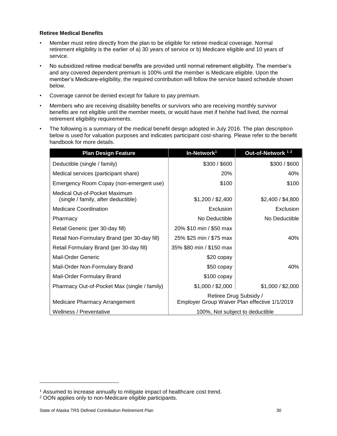#### **Retiree Medical Benefits**

- Member must retire directly from the plan to be eligible for retiree medical coverage. Normal retirement eligibility is the earlier of a) 30 years of service or b) Medicare eligible and 10 years of service.
- No subsidized retiree medical benefits are provided until normal retirement eligibility. The member's and any covered dependent premium is 100% until the member is Medicare eligible. Upon the member's Medicare-eligibility, the required contribution will follow the service based schedule shown below.
- Coverage cannot be denied except for failure to pay premium.
- Members who are receiving disability benefits or survivors who are receiving monthly survivor benefits are not eligible until the member meets, or would have met if he/she had lived, the normal retirement eligibility requirements.
- The following is a summary of the medical benefit design adopted in July 2016. The plan description below is used for valuation purposes and indicates participant cost-sharing. Please refer to the benefit handbook for more details.

| <b>Plan Design Feature</b>                                           | In-Network <sup>1</sup>                                                 | Out-of-Network <sup>12</sup> |  |
|----------------------------------------------------------------------|-------------------------------------------------------------------------|------------------------------|--|
| Deductible (single / family)                                         | \$300 / \$600                                                           | \$300 / \$600                |  |
| Medical services (participant share)                                 | 20%                                                                     | 40%                          |  |
| Emergency Room Copay (non-emergent use)                              | \$100                                                                   | \$100                        |  |
| Medical Out-of-Pocket Maximum<br>(single / family, after deductible) | \$1,200 / \$2,400                                                       | \$2,400 / \$4,800            |  |
| <b>Medicare Coordination</b>                                         | Exclusion                                                               | Exclusion                    |  |
| Pharmacy                                                             | No Deductible                                                           | No Deductible                |  |
| Retail Generic (per 30-day fill)                                     | 20% \$10 min / \$50 max                                                 |                              |  |
| Retail Non-Formulary Brand (per 30-day fill)                         | 25% \$25 min / \$75 max                                                 | 40%                          |  |
| Retail Formulary Brand (per 30-day fill)                             | 35% \$80 min / \$150 max                                                |                              |  |
| Mail-Order Generic                                                   | \$20 copay                                                              |                              |  |
| Mail-Order Non-Formulary Brand                                       | \$50 copay                                                              | 40%                          |  |
| Mail-Order Formulary Brand                                           | $$100$ copay                                                            |                              |  |
| Pharmacy Out-of-Pocket Max (single / family)                         | \$1,000 / \$2,000                                                       | \$1,000 / \$2,000            |  |
| Medicare Pharmacy Arrangement                                        | Retiree Drug Subsidy /<br>Employer Group Waiver Plan effective 1/1/2019 |                              |  |
| Wellness / Preventative                                              | 100%, Not subject to deductible                                         |                              |  |

<sup>1</sup> Assumed to increase annually to mitigate impact of healthcare cost trend.

<sup>2</sup> OON applies only to non-Medicare eligible participants.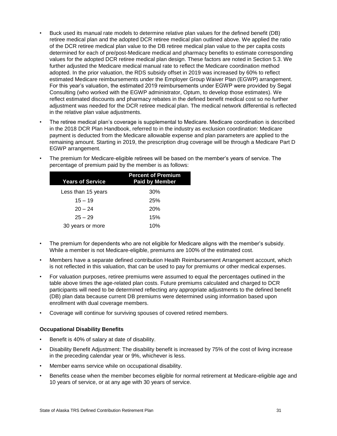- Buck used its manual rate models to determine relative plan values for the defined benefit (DB) retiree medical plan and the adopted DCR retiree medical plan outlined above. We applied the ratio of the DCR retiree medical plan value to the DB retiree medical plan value to the per capita costs determined for each of pre/post-Medicare medical and pharmacy benefits to estimate corresponding values for the adopted DCR retiree medical plan design. These factors are noted in Section 5.3. We further adjusted the Medicare medical manual rate to reflect the Medicare coordination method adopted. In the prior valuation, the RDS subsidy offset in 2019 was increased by 60% to reflect estimated Medicare reimbursements under the Employer Group Waiver Plan (EGWP) arrangement. For this year's valuation, the estimated 2019 reimbursements under EGWP were provided by Segal Consulting (who worked with the EGWP administrator, Optum, to develop those estimates). We reflect estimated discounts and pharmacy rebates in the defined benefit medical cost so no further adjustment was needed for the DCR retiree medical plan. The medical network differential is reflected in the relative plan value adjustments.
- The retiree medical plan's coverage is supplemental to Medicare. Medicare coordination is described in the 2018 DCR Plan Handbook, referred to in the industry as exclusion coordination: Medicare payment is deducted from the Medicare allowable expense and plan parameters are applied to the remaining amount. Starting in 2019, the prescription drug coverage will be through a Medicare Part D EGWP arrangement.

| <b>Years of Service</b> | <b>Percent of Premium</b><br><b>Paid by Member</b> |  |  |  |
|-------------------------|----------------------------------------------------|--|--|--|
| Less than 15 years      | 30%                                                |  |  |  |
| $15 - 19$               | 25%                                                |  |  |  |
| $20 - 24$               | <b>20%</b>                                         |  |  |  |
| $25 - 29$               | 15%                                                |  |  |  |
| 30 years or more        | 10%                                                |  |  |  |
|                         |                                                    |  |  |  |

• The premium for Medicare-eligible retirees will be based on the member's years of service. The percentage of premium paid by the member is as follows:

- The premium for dependents who are not eligible for Medicare aligns with the member's subsidy. While a member is not Medicare-eligible, premiums are 100% of the estimated cost.
- Members have a separate defined contribution Health Reimbursement Arrangement account, which is not reflected in this valuation, that can be used to pay for premiums or other medical expenses.
- For valuation purposes, retiree premiums were assumed to equal the percentages outlined in the table above times the age-related plan costs. Future premiums calculated and charged to DCR participants will need to be determined reflecting any appropriate adjustments to the defined benefit (DB) plan data because current DB premiums were determined using information based upon enrollment with dual coverage members.
- Coverage will continue for surviving spouses of covered retired members.

#### **Occupational Disability Benefits**

- Benefit is 40% of salary at date of disability.
- Disability Benefit Adjustment: The disability benefit is increased by 75% of the cost of living increase in the preceding calendar year or 9%, whichever is less.
- Member earns service while on occupational disability.
- Benefits cease when the member becomes eligible for normal retirement at Medicare-eligible age and 10 years of service, or at any age with 30 years of service.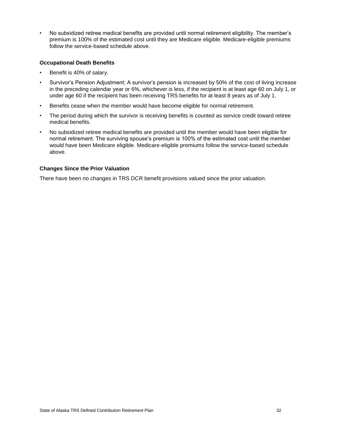• No subsidized retiree medical benefits are provided until normal retirement eligibility. The member's premium is 100% of the estimated cost until they are Medicare eligible. Medicare-eligible premiums follow the service-based schedule above.

#### **Occupational Death Benefits**

- Benefit is 40% of salary.
- Survivor's Pension Adjustment: A survivor's pension is increased by 50% of the cost of living increase in the preceding calendar year or 6%, whichever is less, if the recipient is at least age 60 on July 1, or under age 60 if the recipient has been receiving TRS benefits for at least 8 years as of July 1.
- Benefits cease when the member would have become eligible for normal retirement.
- The period during which the survivor is receiving benefits is counted as service credit toward retiree medical benefits.
- No subsidized retiree medical benefits are provided until the member would have been eligible for normal retirement. The surviving spouse's premium is 100% of the estimated cost until the member would have been Medicare eligible. Medicare-eligible premiums follow the service-based schedule above.

#### **Changes Since the Prior Valuation**

There have been no changes in TRS DCR benefit provisions valued since the prior valuation.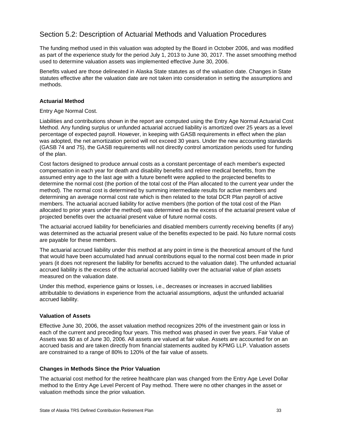## <span id="page-37-0"></span>Section 5.2: Description of Actuarial Methods and Valuation Procedures

The funding method used in this valuation was adopted by the Board in October 2006, and was modified as part of the experience study for the period July 1, 2013 to June 30, 2017. The asset smoothing method used to determine valuation assets was implemented effective June 30, 2006.

Benefits valued are those delineated in Alaska State statutes as of the valuation date. Changes in State statutes effective after the valuation date are not taken into consideration in setting the assumptions and methods.

#### **Actuarial Method**

#### Entry Age Normal Cost.

Liabilities and contributions shown in the report are computed using the Entry Age Normal Actuarial Cost Method. Any funding surplus or unfunded actuarial accrued liability is amortized over 25 years as a level percentage of expected payroll. However, in keeping with GASB requirements in effect when the plan was adopted, the net amortization period will not exceed 30 years. Under the new accounting standards (GASB 74 and 75), the GASB requirements will not directly control amortization periods used for funding of the plan.

Cost factors designed to produce annual costs as a constant percentage of each member's expected compensation in each year for death and disability benefits and retiree medical benefits, from the assumed entry age to the last age with a future benefit were applied to the projected benefits to determine the normal cost (the portion of the total cost of the Plan allocated to the current year under the method). The normal cost is determined by summing intermediate results for active members and determining an average normal cost rate which is then related to the total DCR Plan payroll of active members. The actuarial accrued liability for active members (the portion of the total cost of the Plan allocated to prior years under the method) was determined as the excess of the actuarial present value of projected benefits over the actuarial present value of future normal costs.

The actuarial accrued liability for beneficiaries and disabled members currently receiving benefits (if any) was determined as the actuarial present value of the benefits expected to be paid. No future normal costs are payable for these members.

The actuarial accrued liability under this method at any point in time is the theoretical amount of the fund that would have been accumulated had annual contributions equal to the normal cost been made in prior years (it does not represent the liability for benefits accrued to the valuation date). The unfunded actuarial accrued liability is the excess of the actuarial accrued liability over the actuarial value of plan assets measured on the valuation date.

Under this method, experience gains or losses, i.e., decreases or increases in accrued liabilities attributable to deviations in experience from the actuarial assumptions, adjust the unfunded actuarial accrued liability.

#### **Valuation of Assets**

Effective June 30, 2006, the asset valuation method recognizes 20% of the investment gain or loss in each of the current and preceding four years. This method was phased in over five years. Fair Value of Assets was \$0 as of June 30, 2006. All assets are valued at fair value. Assets are accounted for on an accrued basis and are taken directly from financial statements audited by KPMG LLP. Valuation assets are constrained to a range of 80% to 120% of the fair value of assets.

#### **Changes in Methods Since the Prior Valuation**

The actuarial cost method for the retiree healthcare plan was changed from the Entry Age Level Dollar method to the Entry Age Level Percent of Pay method. There were no other changes in the asset or valuation methods since the prior valuation.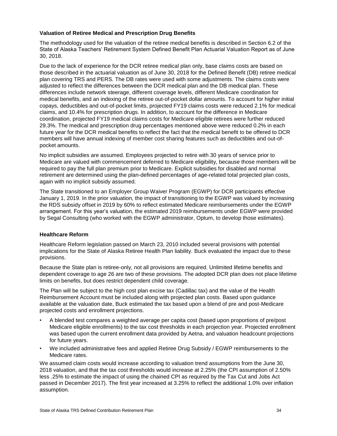#### **Valuation of Retiree Medical and Prescription Drug Benefits**

The methodology used for the valuation of the retiree medical benefits is described in Section 6.2 of the State of Alaska Teachers' Retirement System Defined Benefit Plan Actuarial Valuation Report as of June 30, 2018.

Due to the lack of experience for the DCR retiree medical plan only, base claims costs are based on those described in the actuarial valuation as of June 30, 2018 for the Defined Benefit (DB) retiree medical plan covering TRS and PERS. The DB rates were used with some adjustments. The claims costs were adjusted to reflect the differences between the DCR medical plan and the DB medical plan. These differences include network steerage, different coverage levels, different Medicare coordination for medical benefits, and an indexing of the retiree out-of-pocket dollar amounts. To account for higher initial copays, deductibles and out-of-pocket limits, projected FY19 claims costs were reduced 2.1% for medical claims, and 10.4% for prescription drugs. In addition, to account for the difference in Medicare coordination, projected FY19 medical claims costs for Medicare eligible retirees were further reduced 29.3%. The medical and prescription drug percentages mentioned above were reduced 0.2% in each future year for the DCR medical benefits to reflect the fact that the medical benefit to be offered to DCR members will have annual indexing of member cost sharing features such as deductibles and out-ofpocket amounts.

No implicit subsidies are assumed. Employees projected to retire with 30 years of service prior to Medicare are valued with commencement deferred to Medicare eligibility, because those members will be required to pay the full plan premium prior to Medicare. Explicit subsidies for disabled and normal retirement are determined using the plan-defined percentages of age-related total projected plan costs, again with no implicit subsidy assumed.

The State transitioned to an Employer Group Waiver Program (EGWP) for DCR participants effective January 1, 2019. In the prior valuation, the impact of transitioning to the EGWP was valued by increasing the RDS subsidy offset in 2019 by 60% to reflect estimated Medicare reimbursements under the EGWP arrangement. For this year's valuation, the estimated 2019 reimbursements under EGWP were provided by Segal Consulting (who worked with the EGWP administrator, Optum, to develop those estimates).

#### **Healthcare Reform**

Healthcare Reform legislation passed on March 23, 2010 included several provisions with potential implications for the State of Alaska Retiree Health Plan liability. Buck evaluated the impact due to these provisions.

Because the State plan is retiree-only, not all provisions are required. Unlimited lifetime benefits and dependent coverage to age 26 are two of these provisions. The adopted DCR plan does not place lifetime limits on benefits, but does restrict dependent child coverage.

The Plan will be subject to the high cost plan excise tax (Cadillac tax) and the value of the Health Reimbursement Account must be included along with projected plan costs. Based upon guidance available at the valuation date, Buck estimated the tax based upon a blend of pre and post-Medicare projected costs and enrollment projections.

- A blended test compares a weighted average per capita cost (based upon proportions of pre/post Medicare eligible enrollments) to the tax cost thresholds in each projection year. Projected enrollment was based upon the current enrollment data provided by Aetna, and valuation headcount projections for future years.
- We included administrative fees and applied Retiree Drug Subsidy / EGWP reimbursements to the Medicare rates.

We assumed claim costs would increase according to valuation trend assumptions from the June 30, 2018 valuation, and that the tax cost thresholds would increase at 2.25% (the CPI assumption of 2.50% less .25% to estimate the impact of using the chained CPI as required by the Tax Cut and Jobs Act passed in December 2017). The first year increased at 3.25% to reflect the additional 1.0% over inflation assumption.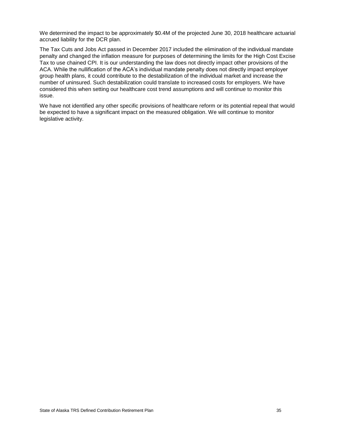We determined the impact to be approximately \$0.4M of the projected June 30, 2018 healthcare actuarial accrued liability for the DCR plan.

The Tax Cuts and Jobs Act passed in December 2017 included the elimination of the individual mandate penalty and changed the inflation measure for purposes of determining the limits for the High Cost Excise Tax to use chained CPI. It is our understanding the law does not directly impact other provisions of the ACA. While the nullification of the ACA's individual mandate penalty does not directly impact employer group health plans, it could contribute to the destabilization of the individual market and increase the number of uninsured. Such destabilization could translate to increased costs for employers. We have considered this when setting our healthcare cost trend assumptions and will continue to monitor this issue.

We have not identified any other specific provisions of healthcare reform or its potential repeal that would be expected to have a significant impact on the measured obligation. We will continue to monitor legislative activity.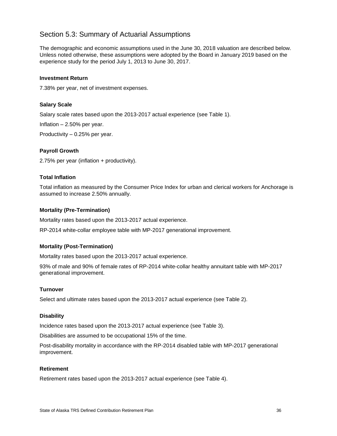## <span id="page-40-0"></span>Section 5.3: Summary of Actuarial Assumptions

The demographic and economic assumptions used in the June 30, 2018 valuation are described below. Unless noted otherwise, these assumptions were adopted by the Board in January 2019 based on the experience study for the period July 1, 2013 to June 30, 2017.

#### **Investment Return**

7.38% per year, net of investment expenses.

#### **Salary Scale**

Salary scale rates based upon the 2013-2017 actual experience (see Table 1).

Inflation – 2.50% per year.

Productivity – 0.25% per year.

#### **Payroll Growth**

2.75% per year (inflation + productivity).

#### **Total Inflation**

Total inflation as measured by the Consumer Price Index for urban and clerical workers for Anchorage is assumed to increase 2.50% annually.

#### **Mortality (Pre-Termination)**

Mortality rates based upon the 2013-2017 actual experience.

RP-2014 white-collar employee table with MP-2017 generational improvement.

#### **Mortality (Post-Termination)**

Mortality rates based upon the 2013-2017 actual experience.

93% of male and 90% of female rates of RP-2014 white-collar healthy annuitant table with MP-2017 generational improvement.

#### **Turnover**

Select and ultimate rates based upon the 2013-2017 actual experience (see Table 2).

#### **Disability**

Incidence rates based upon the 2013-2017 actual experience (see Table 3).

Disabilities are assumed to be occupational 15% of the time.

Post-disability mortality in accordance with the RP-2014 disabled table with MP-2017 generational improvement.

#### **Retirement**

Retirement rates based upon the 2013-2017 actual experience (see Table 4).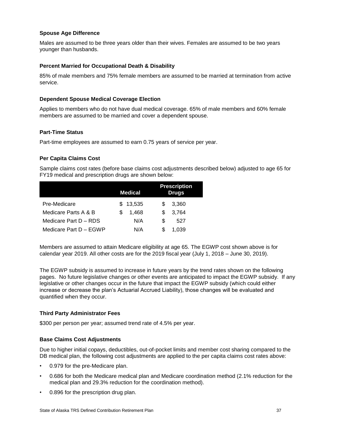#### **Spouse Age Difference**

Males are assumed to be three years older than their wives. Females are assumed to be two years younger than husbands.

#### **Percent Married for Occupational Death & Disability**

85% of male members and 75% female members are assumed to be married at termination from active service.

#### **Dependent Spouse Medical Coverage Election**

Applies to members who do not have dual medical coverage. 65% of male members and 60% female members are assumed to be married and cover a dependent spouse.

#### **Part-Time Status**

Part-time employees are assumed to earn 0.75 years of service per year.

#### **Per Capita Claims Cost**

Sample claims cost rates (before base claims cost adjustments described below) adjusted to age 65 for FY19 medical and prescription drugs are shown below:

|                        | <b>Medical</b> | <b>Prescription</b><br><b>Drugs</b> |
|------------------------|----------------|-------------------------------------|
| Pre-Medicare           | 13,535<br>S.   | 3,360<br>S.                         |
| Medicare Parts A & B   | 1,468<br>S     | 3,764<br>S                          |
| Medicare Part D - RDS  | N/A            | S<br>527                            |
| Medicare Part D - EGWP | N/A            | \$.<br>1.039                        |

Members are assumed to attain Medicare eligibility at age 65. The EGWP cost shown above is for calendar year 2019. All other costs are for the 2019 fiscal year (July 1, 2018 – June 30, 2019).

The EGWP subsidy is assumed to increase in future years by the trend rates shown on the following pages. No future legislative changes or other events are anticipated to impact the EGWP subsidy. If any legislative or other changes occur in the future that impact the EGWP subsidy (which could either increase or decrease the plan's Actuarial Accrued Liability), those changes will be evaluated and quantified when they occur.

#### **Third Party Administrator Fees**

\$300 per person per year; assumed trend rate of 4.5% per year.

#### **Base Claims Cost Adjustments**

Due to higher initial copays, deductibles, out-of-pocket limits and member cost sharing compared to the DB medical plan, the following cost adjustments are applied to the per capita claims cost rates above:

- 0.979 for the pre-Medicare plan.
- 0.686 for both the Medicare medical plan and Medicare coordination method (2.1% reduction for the medical plan and 29.3% reduction for the coordination method).
- 0.896 for the prescription drug plan.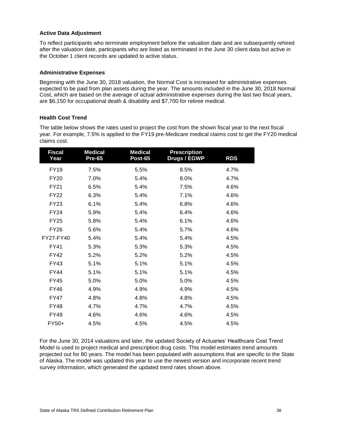#### **Active Data Adjustment**

To reflect participants who terminate employment before the valuation date and are subsequently rehired after the valuation date, participants who are listed as terminated in the June 30 client data but active in the October 1 client records are updated to active status.

#### **Administrative Expenses**

Beginning with the June 30, 2018 valuation, the Normal Cost is increased for administrative expenses expected to be paid from plan assets during the year. The amounts included in the June 30, 2018 Normal Cost, which are based on the average of actual administrative expenses during the last two fiscal years, are \$6,150 for occupational death & disability and \$7,700 for retiree medical.

#### **Health Cost Trend**

The table below shows the rates used to project the cost from the shown fiscal year to the next fiscal year. For example, 7.5% is applied to the FY19 pre-Medicare medical claims cost to get the FY20 medical claims cost.

| <b>Fiscal</b><br>Year | <b>Medical</b><br><b>Pre-65</b> | <b>Medical</b><br>Post-65 | <b>Prescription</b><br>Drugs / EGWP | <b>RDS</b> |
|-----------------------|---------------------------------|---------------------------|-------------------------------------|------------|
| <b>FY19</b>           | 7.5%                            | 5.5%                      | 8.5%                                | 4.7%       |
| <b>FY20</b>           | 7.0%                            | 5.4%                      | 8.0%                                | 4.7%       |
| <b>FY21</b>           | 6.5%                            | 5.4%                      | 7.5%                                | 4.6%       |
| <b>FY22</b>           | 6.3%                            | 5.4%                      | 7.1%                                | 4.6%       |
| <b>FY23</b>           | 6.1%                            | 5.4%                      | 6.8%                                | 4.6%       |
| <b>FY24</b>           | 5.9%                            | 5.4%                      | 6.4%                                | 4.6%       |
| <b>FY25</b>           | 5.8%                            | 5.4%                      | 6.1%                                | 4.6%       |
| <b>FY26</b>           | 5.6%                            | 5.4%                      | 5.7%                                | 4.6%       |
| FY27-FY40             | 5.4%                            | 5.4%                      | 5.4%                                | 4.5%       |
| <b>FY41</b>           | 5.3%                            | 5.3%                      | 5.3%                                | 4.5%       |
| <b>FY42</b>           | 5.2%                            | 5.2%                      | 5.2%                                | 4.5%       |
| <b>FY43</b>           | 5.1%                            | 5.1%                      | 5.1%                                | 4.5%       |
| <b>FY44</b>           | 5.1%                            | 5.1%                      | 5.1%                                | 4.5%       |
| <b>FY45</b>           | 5.0%                            | 5.0%                      | 5.0%                                | 4.5%       |
| <b>FY46</b>           | 4.9%                            | 4.9%                      | 4.9%                                | 4.5%       |
| <b>FY47</b>           | 4.8%                            | 4.8%                      | 4.8%                                | 4.5%       |
| <b>FY48</b>           | 4.7%                            | 4.7%                      | 4.7%                                | 4.5%       |
| <b>FY49</b>           | 4.6%                            | 4.6%                      | 4.6%                                | 4.5%       |
| FY50+                 | 4.5%                            | 4.5%                      | 4.5%                                | 4.5%       |

For the June 30, 2014 valuations and later, the updated Society of Actuaries' Healthcare Cost Trend Model is used to project medical and prescription drug costs. This model estimates trend amounts projected out for 80 years. The model has been populated with assumptions that are specific to the State of Alaska. The model was updated this year to use the newest version and incorporate recent trend survey information, which generated the updated trend rates shown above.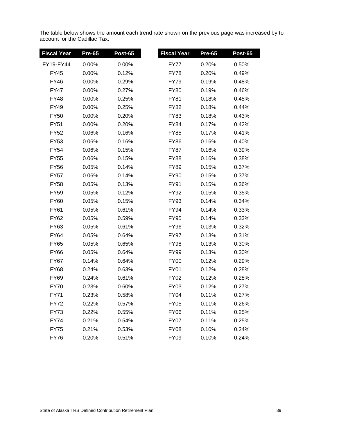The table below shows the amount each trend rate shown on the previous page was increased by to account for the Cadillac Tax:

| <b>Fiscal Year</b> | <b>Pre-65</b> | <b>Post-65</b> | <b>Fiscal Year</b> | <b>Pre-65</b> | Post-65 |
|--------------------|---------------|----------------|--------------------|---------------|---------|
| FY19-FY44          | 0.00%         | 0.00%          | FY77               | 0.20%         | 0.50%   |
| <b>FY45</b>        | 0.00%         | 0.12%          | <b>FY78</b>        | 0.20%         | 0.49%   |
| <b>FY46</b>        | 0.00%         | 0.29%          | <b>FY79</b>        | 0.19%         | 0.48%   |
| FY47               | 0.00%         | 0.27%          | <b>FY80</b>        | 0.19%         | 0.46%   |
| <b>FY48</b>        | 0.00%         | 0.25%          | <b>FY81</b>        | 0.18%         | 0.45%   |
| <b>FY49</b>        | 0.00%         | 0.25%          | FY82               | 0.18%         | 0.44%   |
| <b>FY50</b>        | 0.00%         | 0.20%          | FY83               | 0.18%         | 0.43%   |
| <b>FY51</b>        | 0.00%         | 0.20%          | <b>FY84</b>        | 0.17%         | 0.42%   |
| <b>FY52</b>        | 0.06%         | 0.16%          | <b>FY85</b>        | 0.17%         | 0.41%   |
| <b>FY53</b>        | 0.06%         | 0.16%          | <b>FY86</b>        | 0.16%         | 0.40%   |
| <b>FY54</b>        | 0.06%         | 0.15%          | <b>FY87</b>        | 0.16%         | 0.39%   |
| <b>FY55</b>        | 0.06%         | 0.15%          | <b>FY88</b>        | 0.16%         | 0.38%   |
| <b>FY56</b>        | 0.05%         | 0.14%          | <b>FY89</b>        | 0.15%         | 0.37%   |
| <b>FY57</b>        | 0.06%         | 0.14%          | <b>FY90</b>        | 0.15%         | 0.37%   |
| <b>FY58</b>        | 0.05%         | 0.13%          | FY91               | 0.15%         | 0.36%   |
| <b>FY59</b>        | 0.05%         | 0.12%          | <b>FY92</b>        | 0.15%         | 0.35%   |
| <b>FY60</b>        | 0.05%         | 0.15%          | <b>FY93</b>        | 0.14%         | 0.34%   |
| FY61               | 0.05%         | 0.61%          | <b>FY94</b>        | 0.14%         | 0.33%   |
| FY62               | 0.05%         | 0.59%          | FY95               | 0.14%         | 0.33%   |
| <b>FY63</b>        | 0.05%         | 0.61%          | <b>FY96</b>        | 0.13%         | 0.32%   |
| FY64               | 0.05%         | 0.64%          | <b>FY97</b>        | 0.13%         | 0.31%   |
| <b>FY65</b>        | 0.05%         | 0.65%          | <b>FY98</b>        | 0.13%         | 0.30%   |
| <b>FY66</b>        | 0.05%         | 0.64%          | <b>FY99</b>        | 0.13%         | 0.30%   |
| <b>FY67</b>        | 0.14%         | 0.64%          | <b>FY00</b>        | 0.12%         | 0.29%   |
| <b>FY68</b>        | 0.24%         | 0.63%          | <b>FY01</b>        | 0.12%         | 0.28%   |
| FY69               | 0.24%         | 0.61%          | FY02               | 0.12%         | 0.28%   |
| <b>FY70</b>        | 0.23%         | 0.60%          | <b>FY03</b>        | 0.12%         | 0.27%   |
| <b>FY71</b>        | 0.23%         | 0.58%          | <b>FY04</b>        | 0.11%         | 0.27%   |
| <b>FY72</b>        | 0.22%         | 0.57%          | <b>FY05</b>        | 0.11%         | 0.26%   |
| <b>FY73</b>        | 0.22%         | 0.55%          | <b>FY06</b>        | 0.11%         | 0.25%   |
| <b>FY74</b>        | 0.21%         | 0.54%          | <b>FY07</b>        | 0.11%         | 0.25%   |
| <b>FY75</b>        | 0.21%         | 0.53%          | <b>FY08</b>        | 0.10%         | 0.24%   |
| <b>FY76</b>        | 0.20%         | 0.51%          | <b>FY09</b>        | 0.10%         | 0.24%   |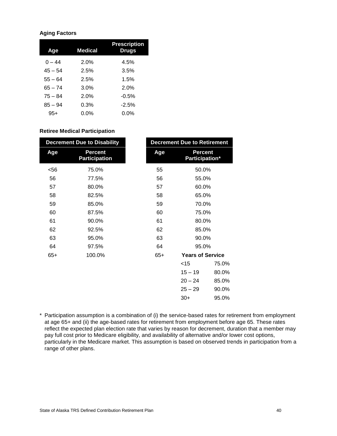#### **Aging Factors**

| Age       | <b>Medical</b> | <b>Prescription</b><br><b>Drugs</b> |
|-----------|----------------|-------------------------------------|
| 0 – 44    | 2.0%           | 4.5%                                |
| $45 - 54$ | 2.5%           | 3.5%                                |
| $55 - 64$ | 2.5%           | 1.5%                                |
| $65 - 74$ | $3.0\%$        | 2.0%                                |
| $75 - 84$ | 2.0%           | $-0.5%$                             |
| $85 - 94$ | 0.3%           | $-2.5%$                             |
| 95+       | 0.0%           | 0.0%                                |

#### **Retiree Medical Participation**

| <b>Decrement Due to Disability</b> |                                        |       | <b>Decrement Due to Retirement</b> |       |
|------------------------------------|----------------------------------------|-------|------------------------------------|-------|
| Age                                | <b>Percent</b><br><b>Participation</b> | Age   | <b>Percent</b><br>Participation*   |       |
| $56$                               | 75.0%                                  | 55    | 50.0%                              |       |
| 56                                 | 77.5%                                  | 56    | 55.0%                              |       |
| 57                                 | 80.0%                                  | 57    | 60.0%                              |       |
| 58                                 | 82.5%                                  | 58    | 65.0%                              |       |
| 59                                 | 85.0%                                  | 59    | 70.0%                              |       |
| 60                                 | 87.5%                                  | 60    | 75.0%                              |       |
| 61                                 | 90.0%                                  | 61    | 80.0%                              |       |
| 62                                 | 92.5%                                  | 62    | 85.0%                              |       |
| 63                                 | 95.0%                                  | 63    | 90.0%                              |       |
| 64                                 | 97.5%                                  | 64    | 95.0%                              |       |
| $65+$                              | 100.0%                                 | $65+$ | <b>Years of Service</b>            |       |
|                                    |                                        |       | $<$ 15                             | 75.0% |
|                                    |                                        |       | $15 - 19$                          | 80.0% |
|                                    |                                        |       | $20 - 24$                          | 85.0% |
|                                    |                                        |       | $25 - 29$                          | 90.0% |
|                                    |                                        |       | $30+$                              | 95.0% |

\* Participation assumption is a combination of (i) the service-based rates for retirement from employment at age 65+ and (ii) the age-based rates for retirement from employment before age 65. These rates reflect the expected plan election rate that varies by reason for decrement, duration that a member may pay full cost prior to Medicare eligibility, and availability of alternative and/or lower cost options, particularly in the Medicare market. This assumption is based on observed trends in participation from a range of other plans.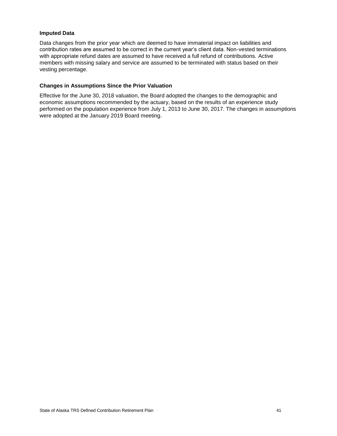#### **Imputed Data**

Data changes from the prior year which are deemed to have immaterial impact on liabilities and contribution rates are assumed to be correct in the current year's client data. Non-vested terminations with appropriate refund dates are assumed to have received a full refund of contributions. Active members with missing salary and service are assumed to be terminated with status based on their vesting percentage.

#### **Changes in Assumptions Since the Prior Valuation**

Effective for the June 30, 2018 valuation, the Board adopted the changes to the demographic and economic assumptions recommended by the actuary, based on the results of an experience study performed on the population experience from July 1, 2013 to June 30, 2017. The changes in assumptions were adopted at the January 2019 Board meeting.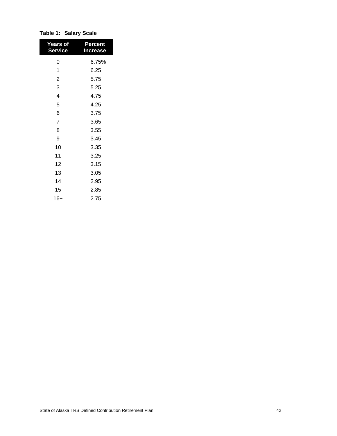| <b>Years of</b><br><b>Service</b> | Percent<br><b>Increase</b> |
|-----------------------------------|----------------------------|
| 0                                 | 6.75%                      |
| 1                                 | 6.25                       |
| $\overline{2}$                    | 5.75                       |
| 3                                 | 5.25                       |
| 4                                 | 4.75                       |
| 5                                 | 4.25                       |
| 6                                 | 3.75                       |
| 7                                 | 3.65                       |
| 8                                 | 3.55                       |
| 9                                 | 3.45                       |
| 10                                | 3.35                       |
| 11                                | 3.25                       |
| 12                                | 3.15                       |
| 13                                | 3.05                       |
| 14                                | 2.95                       |
| 15                                | 2.85                       |
| 16+                               | 2.75                       |

**Table 1: Salary Scale**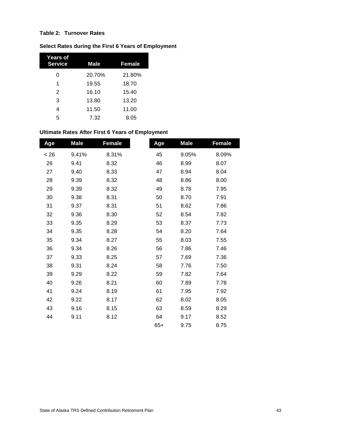#### **Table 2: Turnover Rates**

#### **Select Rates during the First 6 Years of Employment**

| Years of<br><b>Service</b> | <b>Male</b> | <b>Female</b> |
|----------------------------|-------------|---------------|
| Ω                          | 20.70%      | 21.80%        |
| 1                          | 19.55       | 18.70         |
| $\mathcal{P}$              | 16.10       | 15.40         |
| 3                          | 13.80       | 13.20         |
| 4                          | 11.50       | 11.00         |
| 5                          | 7.32        | 8.05          |

## **Ultimate Rates After First 6 Years of Employment**

| Age  | <b>Male</b> | <b>Female</b> | Age   | <b>Male</b> | <b>Female</b> |
|------|-------------|---------------|-------|-------------|---------------|
| < 26 | 9.41%       | 8.31%         | 45    | 9.05%       | 8.09%         |
| 26   | 9.41        | 8.32          | 46    | 8.99        | 8.07          |
| 27   | 9.40        | 8.33          | 47    | 8.94        | 8.04          |
| 28   | 9.39        | 8.32          | 48    | 8.86        | 8.00          |
| 29   | 9.39        | 8.32          | 49    | 8.78        | 7.95          |
| 30   | 9.38        | 8.31          | 50    | 8.70        | 7.91          |
| 31   | 9.37        | 8.31          | 51    | 8.62        | 7.86          |
| 32   | 9.36        | 8.30          | 52    | 8.54        | 7.82          |
| 33   | 9.35        | 8.29          | 53    | 8.37        | 7.73          |
| 34   | 9.35        | 8.28          | 54    | 8.20        | 7.64          |
| 35   | 9.34        | 8.27          | 55    | 8.03        | 7.55          |
| 36   | 9.34        | 8.26          | 56    | 7.86        | 7.46          |
| 37   | 9.33        | 8.25          | 57    | 7.69        | 7.36          |
| 38   | 9.31        | 8.24          | 58    | 7.76        | 7.50          |
| 39   | 9.29        | 8.22          | 59    | 7.82        | 7.64          |
| 40   | 9.26        | 8.21          | 60    | 7.89        | 7.78          |
| 41   | 9.24        | 8.19          | 61    | 7.95        | 7.92          |
| 42   | 9.22        | 8.17          | 62    | 8.02        | 8.05          |
| 43   | 9.16        | 8.15          | 63    | 8.59        | 8.29          |
| 44   | 9.11        | 8.12          | 64    | 9.17        | 8.52          |
|      |             |               | $65+$ | 9.75        | 8.75          |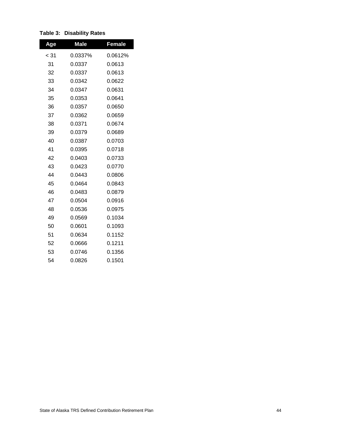| Age  | <b>Male</b> | <b>Female</b> |
|------|-------------|---------------|
| < 31 | 0.0337%     | 0.0612%       |
| 31   | 0.0337      | 0.0613        |
| 32   | 0.0337      | 0.0613        |
| 33   | 0.0342      | 0.0622        |
| 34   | 0.0347      | 0.0631        |
| 35   | 0.0353      | 0.0641        |
| 36   | 0.0357      | 0.0650        |
| 37   | 0.0362      | 0.0659        |
| 38   | 0.0371      | 0.0674        |
| 39   | 0.0379      | 0.0689        |
| 40   | 0.0387      | 0.0703        |
| 41   | 0.0395      | 0.0718        |
| 42   | 0.0403      | 0.0733        |
| 43   | 0.0423      | 0.0770        |
| 44   | 0.0443      | 0.0806        |
| 45   | 0.0464      | 0.0843        |
| 46   | 0.0483      | 0.0879        |
| 47   | 0.0504      | 0.0916        |
| 48   | 0.0536      | 0.0975        |
| 49   | 0.0569      | 0.1034        |
| 50   | 0.0601      | 0.1093        |
| 51   | 0.0634      | 0.1152        |
| 52   | 0.0666      | 0.1211        |
| 53   | 0.0746      | 0.1356        |
| 54   | 0.0826      | 0.1501        |

#### **Table 3: Disability Rates**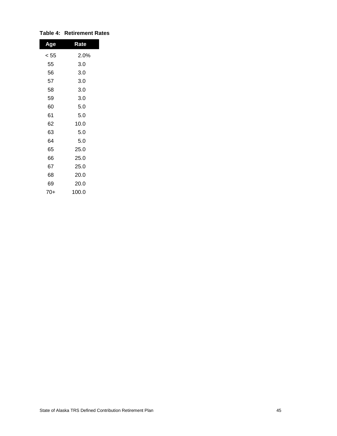| Age  | Rate  |
|------|-------|
| < 55 | 2.0%  |
| 55   | 3.0   |
| 56   | 3.0   |
| 57   | 3.0   |
| 58   | 3.0   |
| 59   | 3.0   |
| 60   | 5.0   |
| 61   | 5.0   |
| 62   | 10.0  |
| 63   | 5.0   |
| 64   | 5.0   |
| 65   | 25.0  |
| 66   | 25.0  |
| 67   | 25.0  |
| 68   | 20.0  |
| 69   | 20.0  |
| 70+  | 100.0 |

#### **Table 4: Retirement Rates**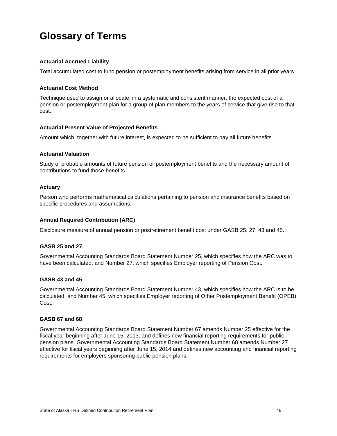# <span id="page-50-0"></span>**Glossary of Terms**

#### **Actuarial Accrued Liability**

Total accumulated cost to fund pension or postemployment benefits arising from service in all prior years.

#### **Actuarial Cost Method**

Technique used to assign or allocate, in a systematic and consistent manner, the expected cost of a pension or postemployment plan for a group of plan members to the years of service that give rise to that cost.

#### **Actuarial Present Value of Projected Benefits**

Amount which, together with future interest, is expected to be sufficient to pay all future benefits.

#### **Actuarial Valuation**

Study of probable amounts of future pension or postemployment benefits and the necessary amount of contributions to fund those benefits.

#### **Actuary**

Person who performs mathematical calculations pertaining to pension and insurance benefits based on specific procedures and assumptions.

#### **Annual Required Contribution (ARC)**

Disclosure measure of annual pension or postretirement benefit cost under GASB 25, 27, 43 and 45.

#### **GASB 25 and 27**

Governmental Accounting Standards Board Statement Number 25, which specifies how the ARC was to have been calculated, and Number 27, which specifies Employer reporting of Pension Cost.

#### **GASB 43 and 45**

Governmental Accounting Standards Board Statement Number 43, which specifies how the ARC is to be calculated, and Number 45, which specifies Employer reporting of Other Postemployment Benefit (OPEB) Cost.

#### **GASB 67 and 68**

Governmental Accounting Standards Board Statement Number 67 amends Number 25 effective for the fiscal year beginning after June 15, 2013, and defines new financial reporting requirements for public pension plans. Governmental Accounting Standards Board Statement Number 68 amends Number 27 effective for fiscal years beginning after June 15, 2014 and defines new accounting and financial reporting requirements for employers sponsoring public pension plans.